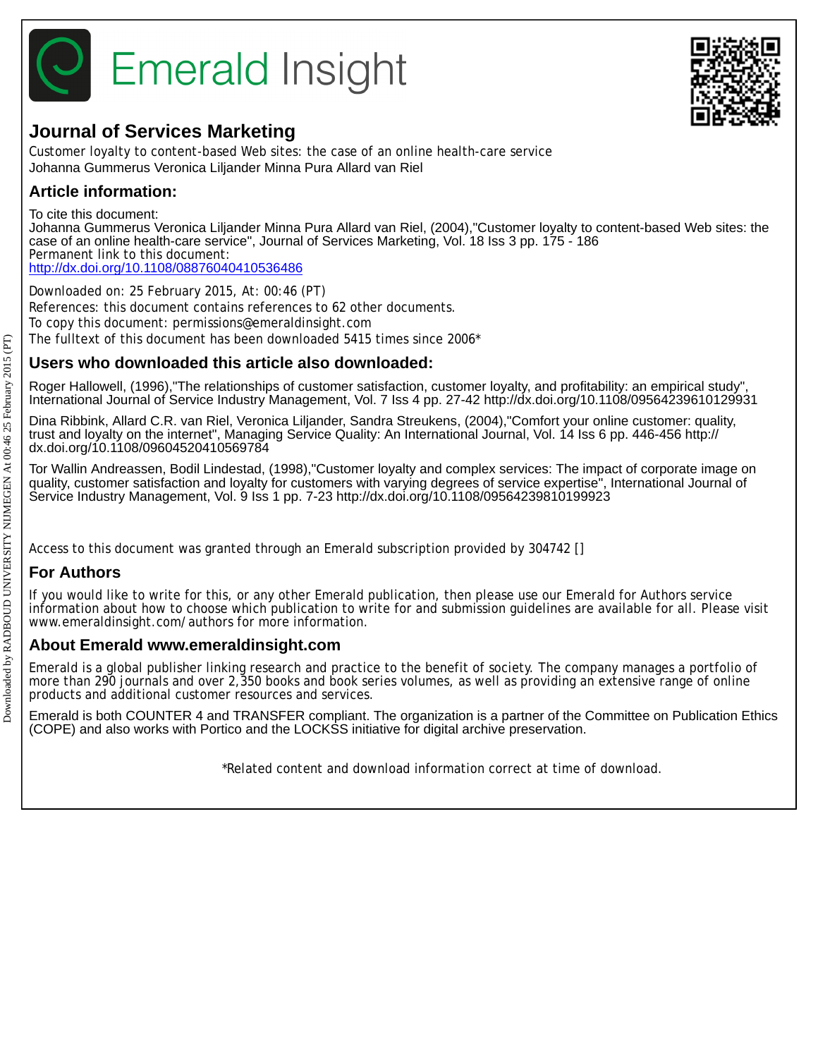



# **Journal of Services Marketing**

Customer loyalty to content-based Web sites: the case of an online health-care service Johanna Gummerus Veronica Liljander Minna Pura Allard van Riel

# **Article information:**

To cite this document:

Johanna Gummerus Veronica Liljander Minna Pura Allard van Riel, (2004),"Customer loyalty to content-based Web sites: the case of an online health-care service", Journal of Services Marketing, Vol. 18 Iss 3 pp. 175 - 186 Permanent link to this document: <http://dx.doi.org/10.1108/08876040410536486>

Downloaded on: 25 February 2015, At: 00:46 (PT) References: this document contains references to 62 other documents. To copy this document: permissions@emeraldinsight.com The fulltext of this document has been downloaded 5415 times since 2006\*

# **Users who downloaded this article also downloaded:**

Roger Hallowell, (1996),"The relationships of customer satisfaction, customer loyalty, and profitability: an empirical study", International Journal of Service Industry Management, Vol. 7 Iss 4 pp. 27-42 http://dx.doi.org/10.1108/09564239610129931

Dina Ribbink, Allard C.R. van Riel, Veronica Liljander, Sandra Streukens, (2004),"Comfort your online customer: quality, trust and loyalty on the internet", Managing Service Quality: An International Journal, Vol. 14 Iss 6 pp. 446-456 http:// dx.doi.org/10.1108/09604520410569784

Tor Wallin Andreassen, Bodil Lindestad, (1998),"Customer loyalty and complex services: The impact of corporate image on quality, customer satisfaction and loyalty for customers with varying degrees of service expertise", International Journal of Service Industry Management, Vol. 9 Iss 1 pp. 7-23 http://dx.doi.org/10.1108/09564239810199923

Access to this document was granted through an Emerald subscription provided by 304742 []

# **For Authors**

If you would like to write for this, or any other Emerald publication, then please use our Emerald for Authors service information about how to choose which publication to write for and submission guidelines are available for all. Please visit www.emeraldinsight.com/authors for more information.

## **About Emerald www.emeraldinsight.com**

Emerald is a global publisher linking research and practice to the benefit of society. The company manages a portfolio of more than 290 journals and over 2,350 books and book series volumes, as well as providing an extensive range of online products and additional customer resources and services.

Emerald is both COUNTER 4 and TRANSFER compliant. The organization is a partner of the Committee on Publication Ethics (COPE) and also works with Portico and the LOCKSS initiative for digital archive preservation.

\*Related content and download information correct at time of download.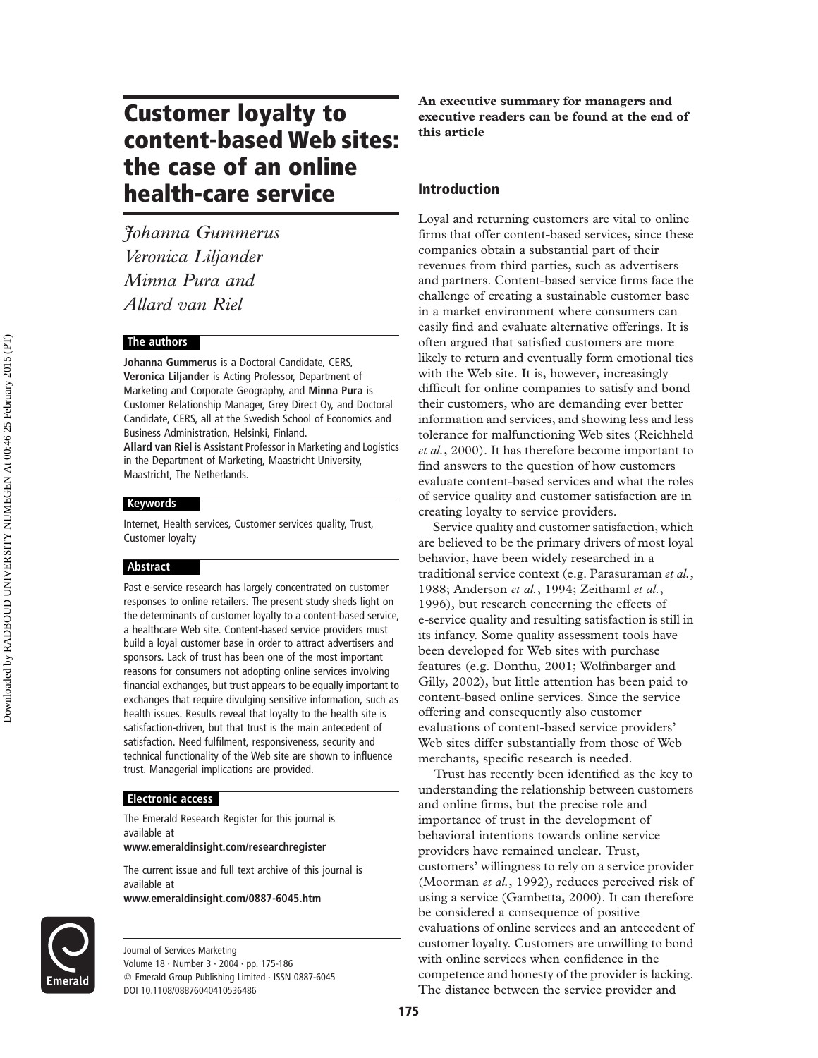# Customer loyalty to content-based Web sites: the case of an online health-care service

Johanna Gummerus Veronica Liljander Minna Pura and Allard van Riel

### The authors

Johanna Gummerus is a Doctoral Candidate, CERS, Veronica Liljander is Acting Professor, Department of Marketing and Corporate Geography, and Minna Pura is Customer Relationship Manager, Grey Direct Oy, and Doctoral Candidate, CERS, all at the Swedish School of Economics and Business Administration, Helsinki, Finland.

Allard van Riel is Assistant Professor in Marketing and Logistics in the Department of Marketing, Maastricht University, Maastricht, The Netherlands.

### **Keywords**

Internet, Health services, Customer services quality, Trust, Customer loyalty

### Abstract

Past e-service research has largely concentrated on customer responses to online retailers. The present study sheds light on the determinants of customer loyalty to a content-based service, a healthcare Web site. Content-based service providers must build a loyal customer base in order to attract advertisers and sponsors. Lack of trust has been one of the most important reasons for consumers not adopting online services involving financial exchanges, but trust appears to be equally important to exchanges that require divulging sensitive information, such as health issues. Results reveal that loyalty to the health site is satisfaction-driven, but that trust is the main antecedent of satisfaction. Need fulfilment, responsiveness, security and technical functionality of the Web site are shown to influence trust. Managerial implications are provided.

### Electronic access

The Emerald Research Register for this journal is available at

www.emeraldinsight.com/researchregister

The current issue and full text archive of this journal is available at www.emeraldinsight.com/0887-6045.htm

**Emerald** 

Journal of Services Marketing Volume 18 · Number 3 · 2004 · pp. 175-186 q Emerald Group Publishing Limited · ISSN 0887-6045 DOI 10.1108/08876040410536486

An executive summary for managers and executive readers can be found at the end of this article

### Introduction

Loyal and returning customers are vital to online firms that offer content-based services, since these companies obtain a substantial part of their revenues from third parties, such as advertisers and partners. Content-based service firms face the challenge of creating a sustainable customer base in a market environment where consumers can easily find and evaluate alternative offerings. It is often argued that satisfied customers are more likely to return and eventually form emotional ties with the Web site. It is, however, increasingly difficult for online companies to satisfy and bond their customers, who are demanding ever better information and services, and showing less and less tolerance for malfunctioning Web sites (Reichheld et al., 2000). It has therefore become important to find answers to the question of how customers evaluate content-based services and what the roles of service quality and customer satisfaction are in creating loyalty to service providers.

Service quality and customer satisfaction, which are believed to be the primary drivers of most loyal behavior, have been widely researched in a traditional service context (e.g. Parasuraman et al., 1988; Anderson et al., 1994; Zeithaml et al., 1996), but research concerning the effects of e-service quality and resulting satisfaction is still in its infancy. Some quality assessment tools have been developed for Web sites with purchase features (e.g. Donthu, 2001; Wolfinbarger and Gilly, 2002), but little attention has been paid to content-based online services. Since the service offering and consequently also customer evaluations of content-based service providers' Web sites differ substantially from those of Web merchants, specific research is needed.

Trust has recently been identified as the key to understanding the relationship between customers and online firms, but the precise role and importance of trust in the development of behavioral intentions towards online service providers have remained unclear. Trust, customers' willingness to rely on a service provider (Moorman et al., 1992), reduces perceived risk of using a service (Gambetta, 2000). It can therefore be considered a consequence of positive evaluations of online services and an antecedent of customer loyalty. Customers are unwilling to bond with online services when confidence in the competence and honesty of the provider is lacking. The distance between the service provider and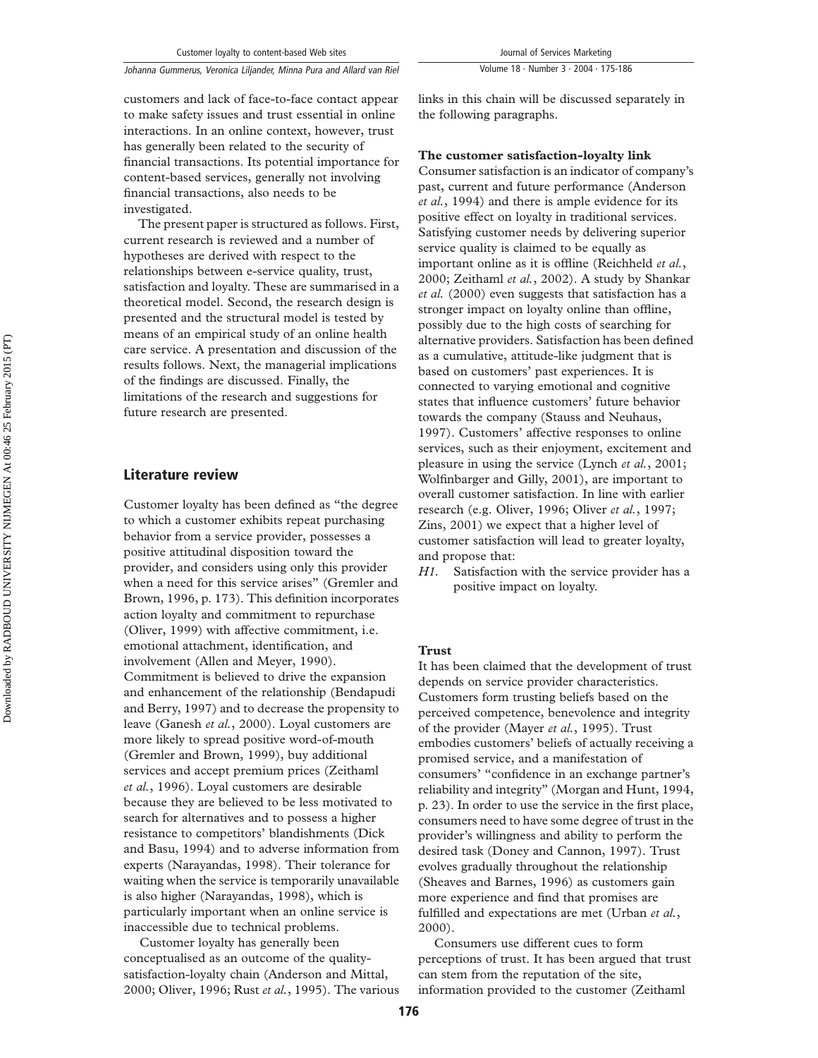Customer loyalty to content-based Web sites

Johanna Gummerus, Veronica Liljander, Minna Pura and Allard van Riel

customers and lack of face-to-face contact appear to make safety issues and trust essential in online interactions. In an online context, however, trust has generally been related to the security of financial transactions. Its potential importance for content-based services, generally not involving financial transactions, also needs to be investigated.

The present paper is structured as follows. First, current research is reviewed and a number of hypotheses are derived with respect to the relationships between e-service quality, trust, satisfaction and loyalty. These are summarised in a theoretical model. Second, the research design is presented and the structural model is tested by means of an empirical study of an online health care service. A presentation and discussion of the results follows. Next, the managerial implications of the findings are discussed. Finally, the limitations of the research and suggestions for future research are presented.

### Literature review

Customer loyalty has been defined as "the degree to which a customer exhibits repeat purchasing behavior from a service provider, possesses a positive attitudinal disposition toward the provider, and considers using only this provider when a need for this service arises" (Gremler and Brown, 1996, p. 173). This definition incorporates action loyalty and commitment to repurchase (Oliver, 1999) with affective commitment, i.e. emotional attachment, identification, and involvement (Allen and Meyer, 1990). Commitment is believed to drive the expansion and enhancement of the relationship (Bendapudi and Berry, 1997) and to decrease the propensity to leave (Ganesh et al., 2000). Loyal customers are more likely to spread positive word-of-mouth (Gremler and Brown, 1999), buy additional services and accept premium prices (Zeithaml et al., 1996). Loyal customers are desirable because they are believed to be less motivated to search for alternatives and to possess a higher resistance to competitors' blandishments (Dick and Basu, 1994) and to adverse information from experts (Narayandas, 1998). Their tolerance for waiting when the service is temporarily unavailable is also higher (Narayandas, 1998), which is particularly important when an online service is inaccessible due to technical problems.

Customer loyalty has generally been conceptualised as an outcome of the qualitysatisfaction-loyalty chain (Anderson and Mittal, 2000; Oliver, 1996; Rust et al., 1995). The various Volume 18 · Number 3 · 2004 · 175-186

links in this chain will be discussed separately in the following paragraphs.

### The customer satisfaction-loyalty link

Consumer satisfaction is an indicator of company's past, current and future performance (Anderson et al., 1994) and there is ample evidence for its positive effect on loyalty in traditional services. Satisfying customer needs by delivering superior service quality is claimed to be equally as important online as it is offline (Reichheld et al., 2000; Zeithaml et al., 2002). A study by Shankar et al. (2000) even suggests that satisfaction has a stronger impact on loyalty online than offline, possibly due to the high costs of searching for alternative providers. Satisfaction has been defined as a cumulative, attitude-like judgment that is based on customers' past experiences. It is connected to varying emotional and cognitive states that influence customers' future behavior towards the company (Stauss and Neuhaus, 1997). Customers' affective responses to online services, such as their enjoyment, excitement and pleasure in using the service (Lynch et al., 2001; Wolfinbarger and Gilly, 2001), are important to overall customer satisfaction. In line with earlier research (e.g. Oliver, 1996; Oliver et al., 1997; Zins, 2001) we expect that a higher level of customer satisfaction will lead to greater loyalty, and propose that:

H1. Satisfaction with the service provider has a positive impact on loyalty.

### **Trust**

It has been claimed that the development of trust depends on service provider characteristics. Customers form trusting beliefs based on the perceived competence, benevolence and integrity of the provider (Mayer et al., 1995). Trust embodies customers' beliefs of actually receiving a promised service, and a manifestation of consumers' "confidence in an exchange partner's reliability and integrity" (Morgan and Hunt, 1994, p. 23). In order to use the service in the first place, consumers need to have some degree of trust in the provider's willingness and ability to perform the desired task (Doney and Cannon, 1997). Trust evolves gradually throughout the relationship (Sheaves and Barnes, 1996) as customers gain more experience and find that promises are fulfilled and expectations are met (Urban et al., 2000).

Consumers use different cues to form perceptions of trust. It has been argued that trust can stem from the reputation of the site, information provided to the customer (Zeithaml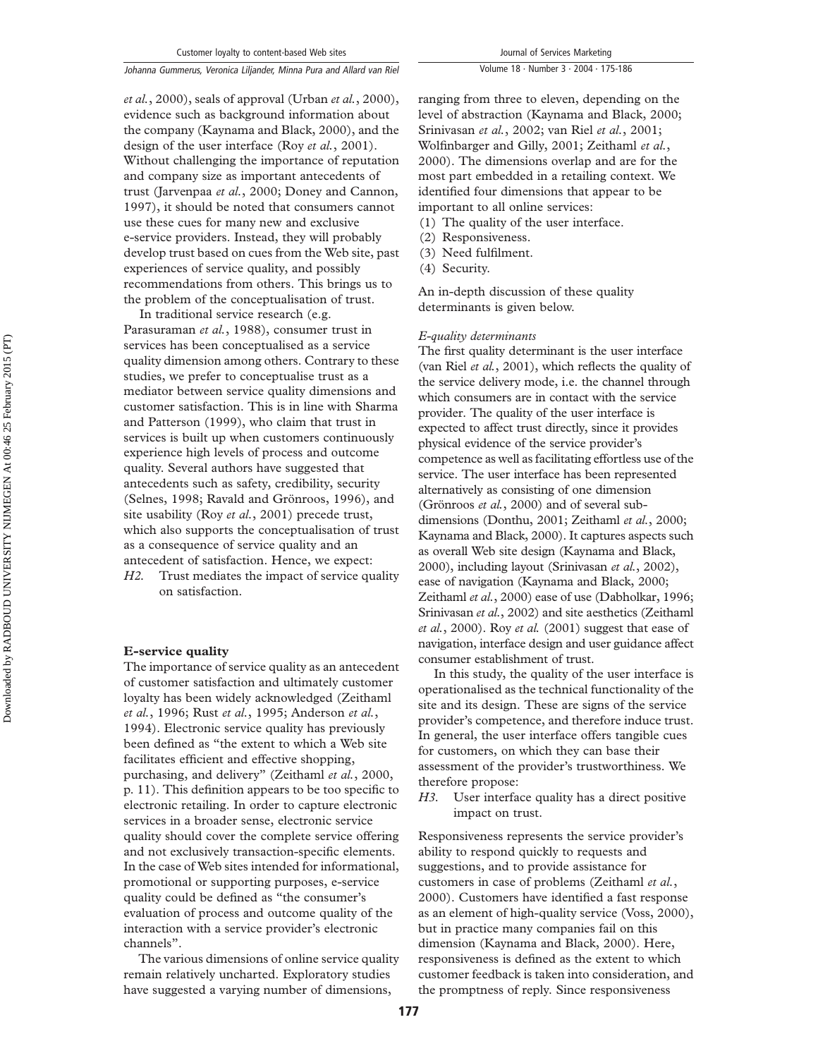Customer loyalty to content-based Web sites

Johanna Gummerus, Veronica Liljander, Minna Pura and Allard van Riel

### Volume 18 · Number 3 · 2004 · 175-186

et al., 2000), seals of approval (Urban et al., 2000), evidence such as background information about the company (Kaynama and Black, 2000), and the design of the user interface (Roy et al., 2001). Without challenging the importance of reputation and company size as important antecedents of trust (Jarvenpaa et al., 2000; Doney and Cannon, 1997), it should be noted that consumers cannot use these cues for many new and exclusive e-service providers. Instead, they will probably develop trust based on cues from the Web site, past experiences of service quality, and possibly recommendations from others. This brings us to the problem of the conceptualisation of trust.

In traditional service research (e.g. Parasuraman et al., 1988), consumer trust in services has been conceptualised as a service quality dimension among others. Contrary to these studies, we prefer to conceptualise trust as a mediator between service quality dimensions and customer satisfaction. This is in line with Sharma and Patterson (1999), who claim that trust in services is built up when customers continuously experience high levels of process and outcome quality. Several authors have suggested that antecedents such as safety, credibility, security (Selnes, 1998; Ravald and Grönroos, 1996), and site usability (Roy et al., 2001) precede trust, which also supports the conceptualisation of trust as a consequence of service quality and an antecedent of satisfaction. Hence, we expect: H2. Trust mediates the impact of service quality

on satisfaction.

### E-service quality

The importance of service quality as an antecedent of customer satisfaction and ultimately customer loyalty has been widely acknowledged (Zeithaml et al., 1996; Rust et al., 1995; Anderson et al., 1994). Electronic service quality has previously been defined as "the extent to which a Web site facilitates efficient and effective shopping, purchasing, and delivery" (Zeithaml et al., 2000, p. 11). This definition appears to be too specific to electronic retailing. In order to capture electronic services in a broader sense, electronic service quality should cover the complete service offering and not exclusively transaction-specific elements. In the case of Web sites intended for informational, promotional or supporting purposes, e-service quality could be defined as "the consumer's evaluation of process and outcome quality of the interaction with a service provider's electronic channels".

The various dimensions of online service quality remain relatively uncharted. Exploratory studies have suggested a varying number of dimensions,

ranging from three to eleven, depending on the level of abstraction (Kaynama and Black, 2000; Srinivasan et al., 2002; van Riel et al., 2001; Wolfinbarger and Gilly, 2001; Zeithaml et al., 2000). The dimensions overlap and are for the most part embedded in a retailing context. We identified four dimensions that appear to be important to all online services:

- (1) The quality of the user interface.
- (2) Responsiveness.
- (3) Need fulfilment.
- (4) Security.

An in-depth discussion of these quality determinants is given below.

### E-quality determinants

The first quality determinant is the user interface (van Riel et al., 2001), which reflects the quality of the service delivery mode, i.e. the channel through which consumers are in contact with the service provider. The quality of the user interface is expected to affect trust directly, since it provides physical evidence of the service provider's competence as well as facilitating effortless use of the service. The user interface has been represented alternatively as consisting of one dimension (Grönroos et al., 2000) and of several subdimensions (Donthu, 2001; Zeithaml et al., 2000; Kaynama and Black, 2000). It captures aspects such as overall Web site design (Kaynama and Black, 2000), including layout (Srinivasan et al., 2002), ease of navigation (Kaynama and Black, 2000; Zeithaml et al., 2000) ease of use (Dabholkar, 1996; Srinivasan et al., 2002) and site aesthetics (Zeithaml et al., 2000). Roy et al. (2001) suggest that ease of navigation, interface design and user guidance affect consumer establishment of trust.

In this study, the quality of the user interface is operationalised as the technical functionality of the site and its design. These are signs of the service provider's competence, and therefore induce trust. In general, the user interface offers tangible cues for customers, on which they can base their assessment of the provider's trustworthiness. We therefore propose:

H3. User interface quality has a direct positive impact on trust.

Responsiveness represents the service provider's ability to respond quickly to requests and suggestions, and to provide assistance for customers in case of problems (Zeithaml et al., 2000). Customers have identified a fast response as an element of high-quality service (Voss, 2000), but in practice many companies fail on this dimension (Kaynama and Black, 2000). Here, responsiveness is defined as the extent to which customer feedback is taken into consideration, and the promptness of reply. Since responsiveness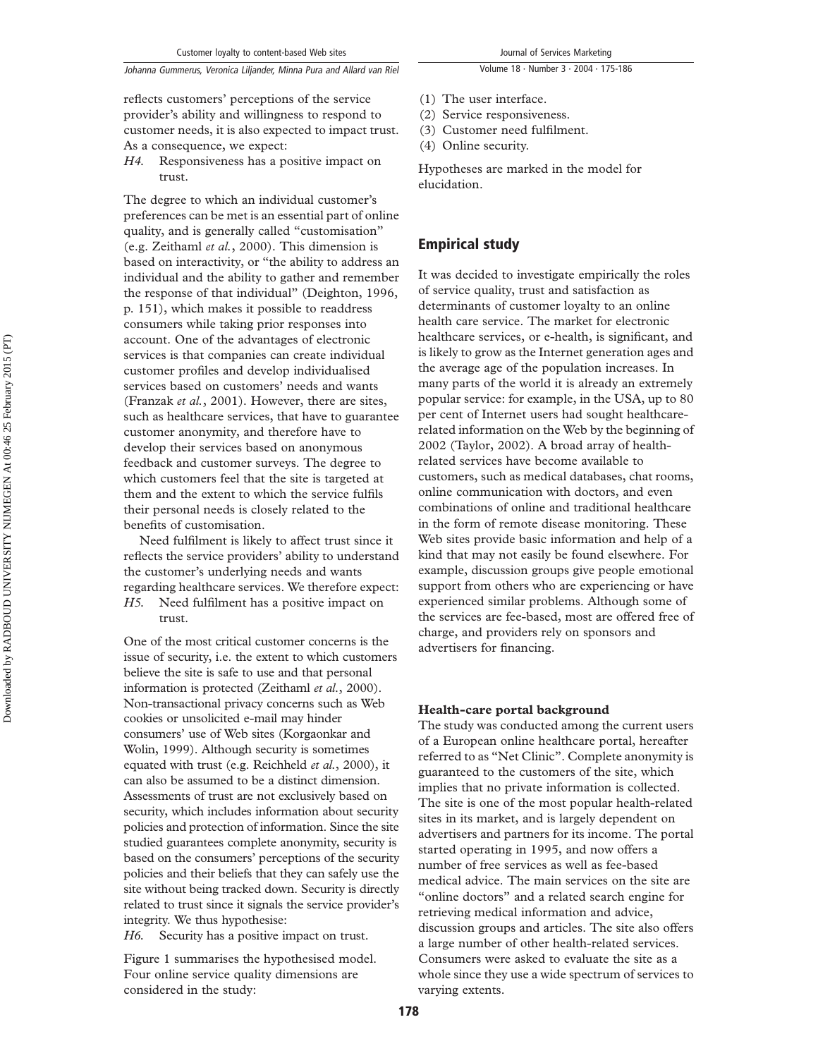reflects customers' perceptions of the service provider's ability and willingness to respond to customer needs, it is also expected to impact trust. As a consequence, we expect:

H4. Responsiveness has a positive impact on trust.

The degree to which an individual customer's preferences can be met is an essential part of online quality, and is generally called "customisation" (e.g. Zeithaml et al., 2000). This dimension is based on interactivity, or "the ability to address an individual and the ability to gather and remember the response of that individual" (Deighton, 1996, p. 151), which makes it possible to readdress consumers while taking prior responses into account. One of the advantages of electronic services is that companies can create individual customer profiles and develop individualised services based on customers' needs and wants (Franzak et al., 2001). However, there are sites, such as healthcare services, that have to guarantee customer anonymity, and therefore have to develop their services based on anonymous feedback and customer surveys. The degree to which customers feel that the site is targeted at them and the extent to which the service fulfils their personal needs is closely related to the benefits of customisation.

Need fulfilment is likely to affect trust since it reflects the service providers' ability to understand the customer's underlying needs and wants regarding healthcare services. We therefore expect: H5. Need fulfilment has a positive impact on trust.

One of the most critical customer concerns is the issue of security, i.e. the extent to which customers believe the site is safe to use and that personal information is protected (Zeithaml et al., 2000). Non-transactional privacy concerns such as Web cookies or unsolicited e-mail may hinder consumers' use of Web sites (Korgaonkar and Wolin, 1999). Although security is sometimes equated with trust (e.g. Reichheld et al., 2000), it can also be assumed to be a distinct dimension. Assessments of trust are not exclusively based on security, which includes information about security policies and protection of information. Since the site studied guarantees complete anonymity, security is based on the consumers' perceptions of the security policies and their beliefs that they can safely use the site without being tracked down. Security is directly related to trust since it signals the service provider's integrity. We thus hypothesise:

H6. Security has a positive impact on trust.

Figure 1 summarises the hypothesised model. Four online service quality dimensions are considered in the study:

Volume 18 · Number 3 · 2004 · 175-186

- (1) The user interface.
- (2) Service responsiveness.
- (3) Customer need fulfilment.
- (4) Online security.

Hypotheses are marked in the model for elucidation.

### Empirical study

It was decided to investigate empirically the roles of service quality, trust and satisfaction as determinants of customer loyalty to an online health care service. The market for electronic healthcare services, or e-health, is significant, and is likely to grow as the Internet generation ages and the average age of the population increases. In many parts of the world it is already an extremely popular service: for example, in the USA, up to 80 per cent of Internet users had sought healthcarerelated information on the Web by the beginning of 2002 (Taylor, 2002). A broad array of healthrelated services have become available to customers, such as medical databases, chat rooms, online communication with doctors, and even combinations of online and traditional healthcare in the form of remote disease monitoring. These Web sites provide basic information and help of a kind that may not easily be found elsewhere. For example, discussion groups give people emotional support from others who are experiencing or have experienced similar problems. Although some of the services are fee-based, most are offered free of charge, and providers rely on sponsors and advertisers for financing.

### Health-care portal background

The study was conducted among the current users of a European online healthcare portal, hereafter referred to as "Net Clinic". Complete anonymity is guaranteed to the customers of the site, which implies that no private information is collected. The site is one of the most popular health-related sites in its market, and is largely dependent on advertisers and partners for its income. The portal started operating in 1995, and now offers a number of free services as well as fee-based medical advice. The main services on the site are "online doctors" and a related search engine for retrieving medical information and advice, discussion groups and articles. The site also offers a large number of other health-related services. Consumers were asked to evaluate the site as a whole since they use a wide spectrum of services to varying extents.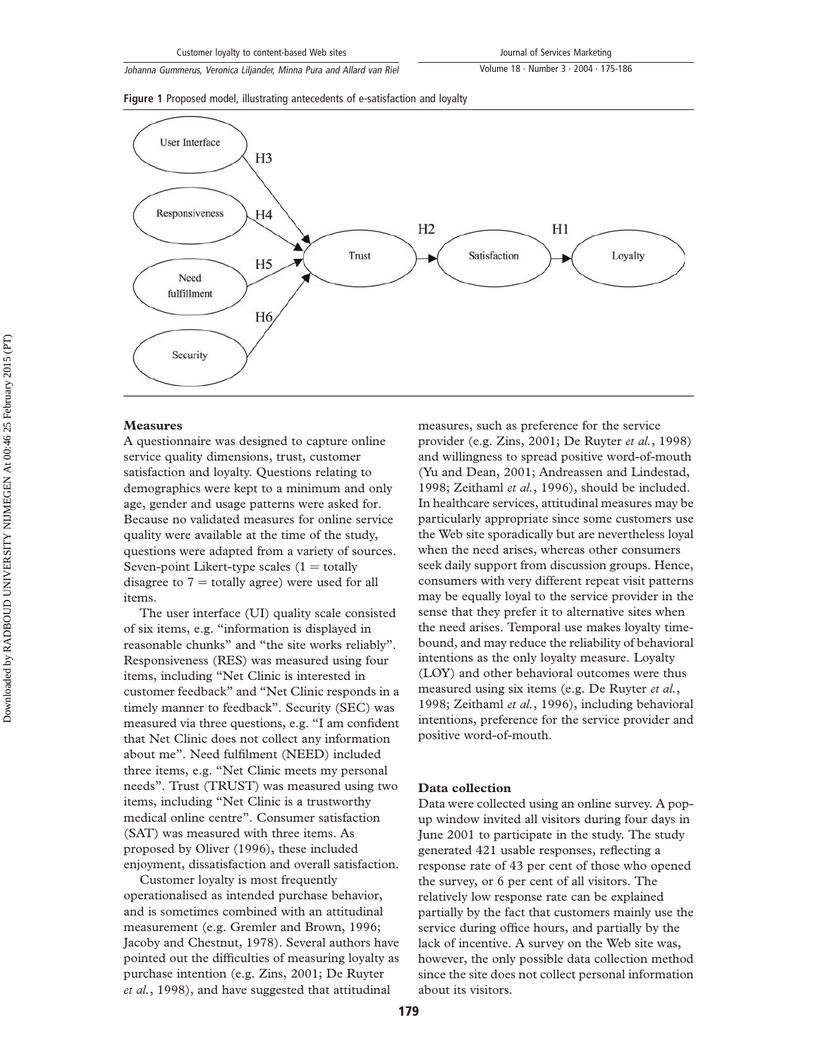### Volume 18 · Number 3 · 2004 · 175-186

Figure 1 Proposed model, illustrating antecedents of e-satisfaction and loyalty



# Downloaded by RADBOUD UNIVERSITY NIJMEGEN At 00:46 25 February 2015 (PT) Downloaded by RADBOUD UNIVERSITY NIJMEGEN At 00:46 25 February 2015 (PT)

### Measures

A questionnaire was designed to capture online service quality dimensions, trust, customer satisfaction and loyalty. Questions relating to demographics were kept to a minimum and only age, gender and usage patterns were asked for. Because no validated measures for online service quality were available at the time of the study, questions were adapted from a variety of sources. Seven-point Likert-type scales  $(1 = \text{totally})$ disagree to  $7 =$  totally agree) were used for all items.

The user interface (UI) quality scale consisted of six items, e.g. "information is displayed in reasonable chunks" and "the site works reliably". Responsiveness (RES) was measured using four items, including "Net Clinic is interested in customer feedback" and "Net Clinic responds in a timely manner to feedback". Security (SEC) was measured via three questions, e.g. "I am confident that Net Clinic does not collect any information about me". Need fulfilment (NEED) included three items, e.g. "Net Clinic meets my personal needs". Trust (TRUST) was measured using two items, including "Net Clinic is a trustworthy medical online centre". Consumer satisfaction (SAT) was measured with three items. As proposed by Oliver (1996), these included enjoyment, dissatisfaction and overall satisfaction.

Customer loyalty is most frequently operationalised as intended purchase behavior, and is sometimes combined with an attitudinal measurement (e.g. Gremler and Brown, 1996; Jacoby and Chestnut, 1978). Several authors have pointed out the difficulties of measuring loyalty as purchase intention (e.g. Zins, 2001; De Ruyter et al., 1998), and have suggested that attitudinal

measures, such as preference for the service provider (e.g. Zins, 2001; De Ruyter et al., 1998) and willingness to spread positive word-of-mouth (Yu and Dean, 2001; Andreassen and Lindestad, 1998; Zeithaml et al., 1996), should be included. In healthcare services, attitudinal measures may be particularly appropriate since some customers use the Web site sporadically but are nevertheless loyal when the need arises, whereas other consumers seek daily support from discussion groups. Hence, consumers with very different repeat visit patterns may be equally loyal to the service provider in the sense that they prefer it to alternative sites when the need arises. Temporal use makes loyalty timebound, and may reduce the reliability of behavioral intentions as the only loyalty measure. Loyalty (LOY) and other behavioral outcomes were thus measured using six items (e.g. De Ruyter et al., 1998; Zeithaml et al., 1996), including behavioral intentions, preference for the service provider and positive word-of-mouth.

### Data collection

Data were collected using an online survey. A popup window invited all visitors during four days in June 2001 to participate in the study. The study generated 421 usable responses, reflecting a response rate of 43 per cent of those who opened the survey, or 6 per cent of all visitors. The relatively low response rate can be explained partially by the fact that customers mainly use the service during office hours, and partially by the lack of incentive. A survey on the Web site was, however, the only possible data collection method since the site does not collect personal information about its visitors.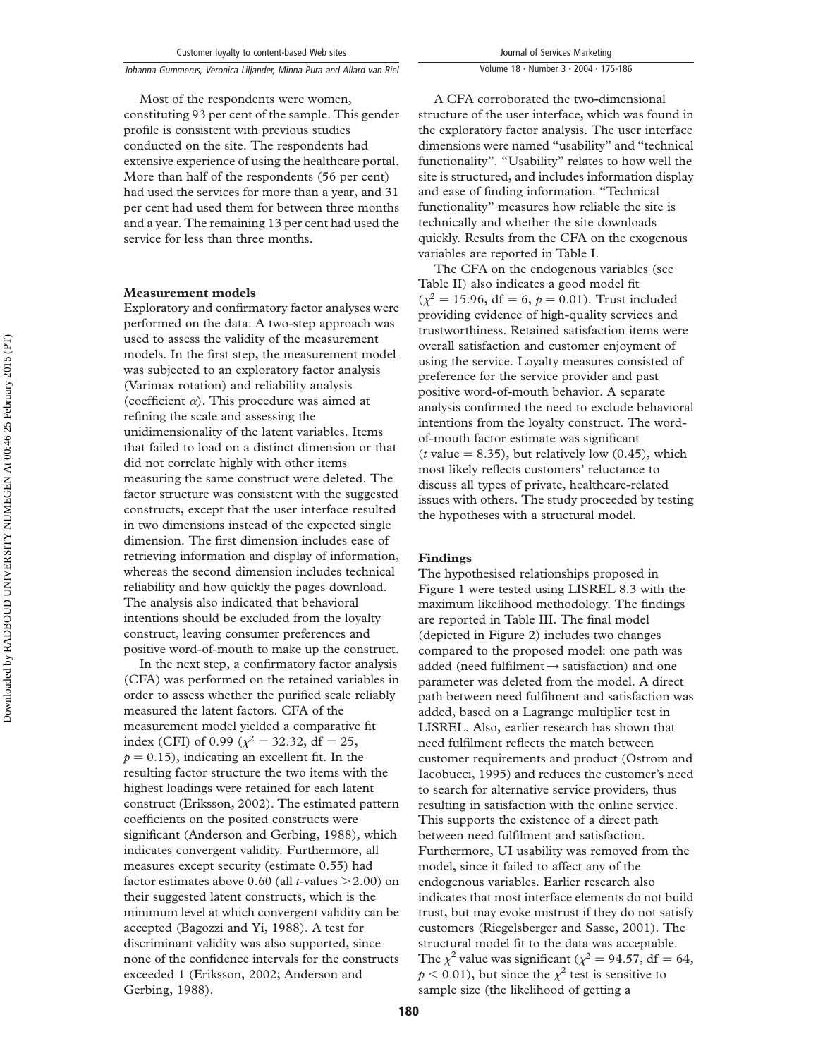Most of the respondents were women, constituting 93 per cent of the sample. This gender profile is consistent with previous studies conducted on the site. The respondents had extensive experience of using the healthcare portal. More than half of the respondents (56 per cent) had used the services for more than a year, and 31 per cent had used them for between three months and a year. The remaining 13 per cent had used the service for less than three months.

### Measurement models

Exploratory and confirmatory factor analyses were performed on the data. A two-step approach was used to assess the validity of the measurement models. In the first step, the measurement model was subjected to an exploratory factor analysis (Varimax rotation) and reliability analysis (coefficient  $\alpha$ ). This procedure was aimed at refining the scale and assessing the unidimensionality of the latent variables. Items that failed to load on a distinct dimension or that did not correlate highly with other items measuring the same construct were deleted. The factor structure was consistent with the suggested constructs, except that the user interface resulted in two dimensions instead of the expected single dimension. The first dimension includes ease of retrieving information and display of information, whereas the second dimension includes technical reliability and how quickly the pages download. The analysis also indicated that behavioral intentions should be excluded from the loyalty construct, leaving consumer preferences and positive word-of-mouth to make up the construct.

In the next step, a confirmatory factor analysis (CFA) was performed on the retained variables in order to assess whether the purified scale reliably measured the latent factors. CFA of the measurement model yielded a comparative fit index (CFI) of 0.99 ( $\chi^2$  = 32.32, df = 25,  $p = 0.15$ , indicating an excellent fit. In the resulting factor structure the two items with the highest loadings were retained for each latent construct (Eriksson, 2002). The estimated pattern coefficients on the posited constructs were significant (Anderson and Gerbing, 1988), which indicates convergent validity. Furthermore, all measures except security (estimate 0.55) had factor estimates above 0.60 (all *t*-values  $>$  2.00) on their suggested latent constructs, which is the minimum level at which convergent validity can be accepted (Bagozzi and Yi, 1988). A test for discriminant validity was also supported, since none of the confidence intervals for the constructs exceeded 1 (Eriksson, 2002; Anderson and Gerbing, 1988).

### Volume 18 · Number 3 · 2004 · 175-186

A CFA corroborated the two-dimensional structure of the user interface, which was found in the exploratory factor analysis. The user interface dimensions were named "usability" and "technical functionality". "Usability" relates to how well the site is structured, and includes information display and ease of finding information. "Technical functionality" measures how reliable the site is technically and whether the site downloads quickly. Results from the CFA on the exogenous variables are reported in Table I.

The CFA on the endogenous variables (see Table II) also indicates a good model fit  $(\chi^2 = 15.96, df = 6, p = 0.01)$ . Trust included providing evidence of high-quality services and trustworthiness. Retained satisfaction items were overall satisfaction and customer enjoyment of using the service. Loyalty measures consisted of preference for the service provider and past positive word-of-mouth behavior. A separate analysis confirmed the need to exclude behavioral intentions from the loyalty construct. The wordof-mouth factor estimate was significant (*t* value  $= 8.35$ ), but relatively low (0.45), which most likely reflects customers' reluctance to discuss all types of private, healthcare-related issues with others. The study proceeded by testing the hypotheses with a structural model.

### Findings

The hypothesised relationships proposed in Figure 1 were tested using LISREL 8.3 with the maximum likelihood methodology. The findings are reported in Table III. The final model (depicted in Figure 2) includes two changes compared to the proposed model: one path was added (need fulfilment  $\rightarrow$  satisfaction) and one parameter was deleted from the model. A direct path between need fulfilment and satisfaction was added, based on a Lagrange multiplier test in LISREL. Also, earlier research has shown that need fulfilment reflects the match between customer requirements and product (Ostrom and Iacobucci, 1995) and reduces the customer's need to search for alternative service providers, thus resulting in satisfaction with the online service. This supports the existence of a direct path between need fulfilment and satisfaction. Furthermore, UI usability was removed from the model, since it failed to affect any of the endogenous variables. Earlier research also indicates that most interface elements do not build trust, but may evoke mistrust if they do not satisfy customers (Riegelsberger and Sasse, 2001). The structural model fit to the data was acceptable. The  $\chi^2$  value was significant ( $\chi^2 = 94.57$ , df = 64,  $p < 0.01$ ), but since the  $\chi^2$  test is sensitive to sample size (the likelihood of getting a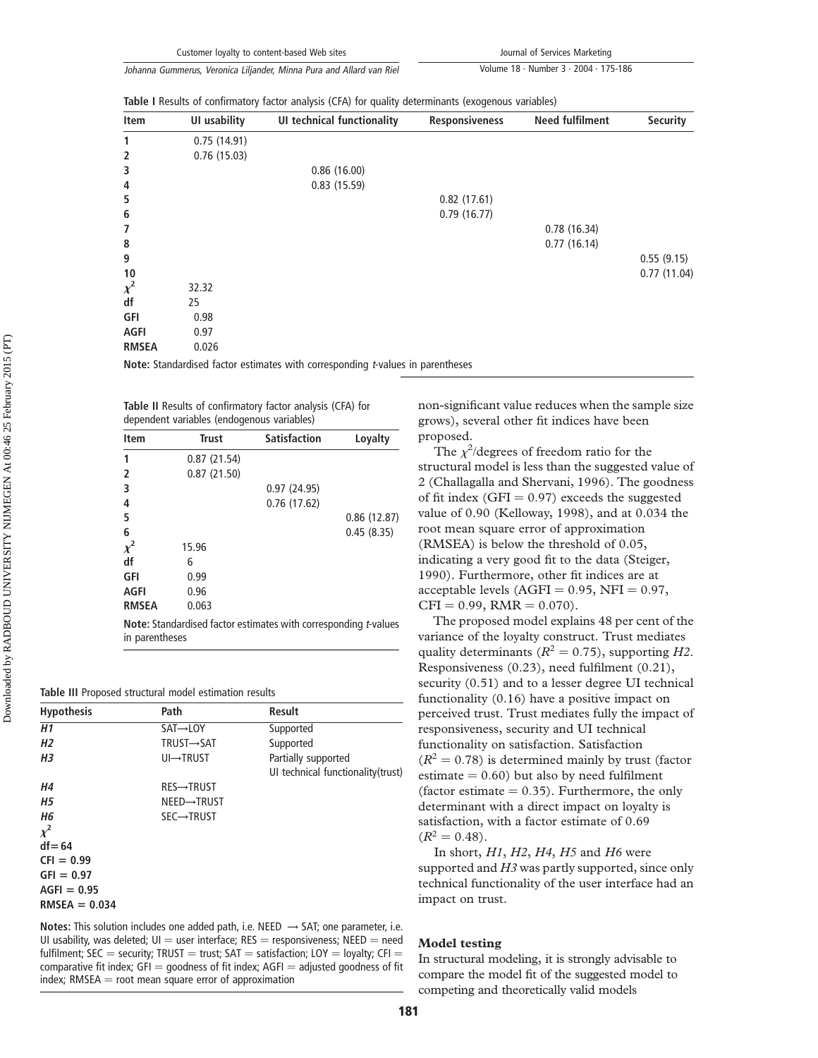Journal of Services Marketing Volume 18 · Number 3 · 2004 · 175-186

Johanna Gummerus, Veronica Liljander, Minna Pura and Allard van Riel

Table I Results of confirmatory factor analysis (CFA) for quality determinants (exogenous variables)

| Item         | UI usability | UI technical functionality | Responsiveness | Need fulfilment | <b>Security</b> |
|--------------|--------------|----------------------------|----------------|-----------------|-----------------|
| 1            | 0.75(14.91)  |                            |                |                 |                 |
| 2            | 0.76(15.03)  |                            |                |                 |                 |
| 3            |              | 0.86(16.00)                |                |                 |                 |
| 4            |              | 0.83(15.59)                |                |                 |                 |
| 5            |              |                            | 0.82(17.61)    |                 |                 |
| 6            |              |                            | 0.79(16.77)    |                 |                 |
| 7            |              |                            |                | 0.78(16.34)     |                 |
| 8            |              |                            |                | 0.77(16.14)     |                 |
| 9            |              |                            |                |                 | 0.55(9.15)      |
| 10           |              |                            |                |                 | 0.77(11.04)     |
| $\chi^2$     | 32.32        |                            |                |                 |                 |
| df           | 25           |                            |                |                 |                 |
| GFI          | 0.98         |                            |                |                 |                 |
| <b>AGFI</b>  | 0.97         |                            |                |                 |                 |
| <b>RMSEA</b> | 0.026        |                            |                |                 |                 |
|              | .            |                            |                |                 |                 |

Note: Standardised factor estimates with corresponding t-values in parentheses

Table II Results of confirmatory factor analysis (CFA) for dependent variables (endogenous variables)

| Item         | <b>Trust</b>                                                           | <b>Satisfaction</b> | Loyalty     |
|--------------|------------------------------------------------------------------------|---------------------|-------------|
| 1            | 0.87(21.54)                                                            |                     |             |
| 2            | 0.87(21.50)                                                            |                     |             |
| 3            |                                                                        | 0.97(24.95)         |             |
| 4            |                                                                        | 0.76(17.62)         |             |
| 5            |                                                                        |                     | 0.86(12.87) |
| 6            |                                                                        |                     | 0.45(8.35)  |
| $\chi^2$     | 15.96                                                                  |                     |             |
| df           | 6                                                                      |                     |             |
| GFI          | 0.99                                                                   |                     |             |
| AGFI         | 0.96                                                                   |                     |             |
| <b>RMSEA</b> | 0.063                                                                  |                     |             |
|              | <b>Note:</b> Standardised factor estimates with corresponding t-values |                     |             |

Note: Standardised factor estimates with corresponding t-values in parentheses

Table III Proposed structural model estimation results

| <b>Hypothesis</b>     | Path                           | <b>Result</b>                      |
|-----------------------|--------------------------------|------------------------------------|
| H1                    | $SAT \rightarrow LOY$          | Supported                          |
| H <sub>2</sub>        | <b>TRUST→SAT</b>               | Supported                          |
| <b>H3</b>             | <b>UI→TRUST</b>                | Partially supported                |
| Н4<br><b>H5</b>       | <b>RES→TRUST</b><br>NEED→TRUST | UI technical functionality (trust) |
| <b>H6</b><br>$\chi^2$ | SEC→TRUST                      |                                    |
| $df = 64$             |                                |                                    |
| $CFI = 0.99$          |                                |                                    |
| $GFI = 0.97$          |                                |                                    |
| $AGFI = 0.95$         |                                |                                    |
| $RMSEA = 0.034$       |                                |                                    |

Notes: This solution includes one added path, i.e. NEED  $\rightarrow$  SAT; one parameter, i.e. UI usability, was deleted;  $UI =$  user interface; RES = responsiveness; NEED = need fulfilment; SEC = security; TRUST = trust; SAT = satisfaction; LOY = loyalty; CFI = comparative fit index;  $GFI = \text{goodness of fit index}$ ;  $AGFI = \text{adjusted goodness of fit}$ index; RMSEA  $=$  root mean square error of approximation

non-significant value reduces when the sample size grows), several other fit indices have been proposed.

The  $\chi^2$ /degrees of freedom ratio for the structural model is less than the suggested value of 2 (Challagalla and Shervani, 1996). The goodness of fit index (GFI  $= 0.97$ ) exceeds the suggested value of 0.90 (Kelloway, 1998), and at 0.034 the root mean square error of approximation (RMSEA) is below the threshold of 0.05, indicating a very good fit to the data (Steiger, 1990). Furthermore, other fit indices are at acceptable levels (AGFI =  $0.95$ , NFI =  $0.97$ ,  $CFI = 0.99$ ,  $RMR = 0.070$ ).

The proposed model explains 48 per cent of the variance of the loyalty construct. Trust mediates quality determinants ( $R^2 = 0.75$ ), supporting H2. Responsiveness (0.23), need fulfilment (0.21), security (0.51) and to a lesser degree UI technical functionality (0.16) have a positive impact on perceived trust. Trust mediates fully the impact of responsiveness, security and UI technical functionality on satisfaction. Satisfaction  $(R<sup>2</sup> = 0.78)$  is determined mainly by trust (factor estimate  $= 0.60$ ) but also by need fulfilment (factor estimate  $= 0.35$ ). Furthermore, the only determinant with a direct impact on loyalty is satisfaction, with a factor estimate of 0.69  $(R^2 = 0.48).$ 

In short,  $H1$ ,  $H2$ ,  $H4$ ,  $H5$  and  $H6$  were supported and H3 was partly supported, since only technical functionality of the user interface had an impact on trust.

### Model testing

In structural modeling, it is strongly advisable to compare the model fit of the suggested model to competing and theoretically valid models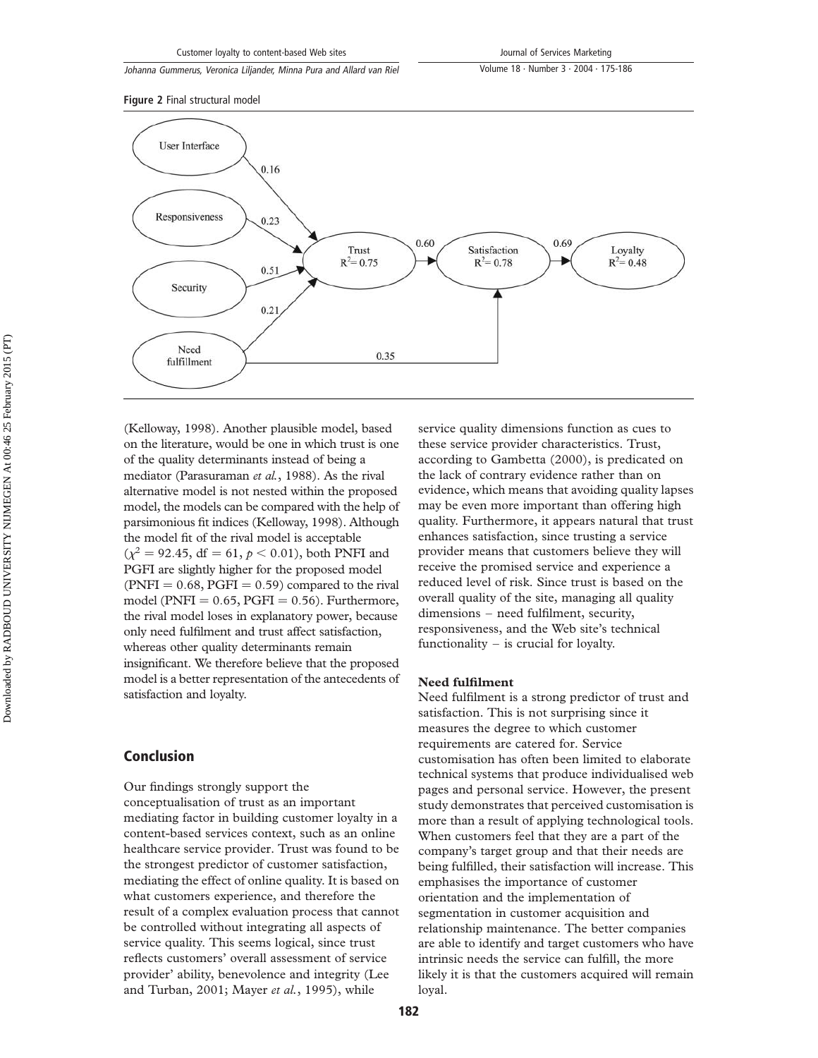Figure 2 Final structural model



(Kelloway, 1998). Another plausible model, based on the literature, would be one in which trust is one of the quality determinants instead of being a mediator (Parasuraman et al., 1988). As the rival alternative model is not nested within the proposed model, the models can be compared with the help of parsimonious fit indices (Kelloway, 1998). Although the model fit of the rival model is acceptable  $(\chi^2 = 92.45, df = 61, p < 0.01)$ , both PNFI and PGFI are slightly higher for the proposed model  $(PNFI = 0.68, PGFI = 0.59)$  compared to the rival model (PNFI  $= 0.65$ , PGFI  $= 0.56$ ). Furthermore, the rival model loses in explanatory power, because only need fulfilment and trust affect satisfaction, whereas other quality determinants remain insignificant. We therefore believe that the proposed model is a better representation of the antecedents of satisfaction and loyalty.

### Conclusion

Our findings strongly support the conceptualisation of trust as an important mediating factor in building customer loyalty in a content-based services context, such as an online healthcare service provider. Trust was found to be the strongest predictor of customer satisfaction, mediating the effect of online quality. It is based on what customers experience, and therefore the result of a complex evaluation process that cannot be controlled without integrating all aspects of service quality. This seems logical, since trust reflects customers' overall assessment of service provider' ability, benevolence and integrity (Lee and Turban, 2001; Mayer et al., 1995), while

service quality dimensions function as cues to these service provider characteristics. Trust, according to Gambetta (2000), is predicated on the lack of contrary evidence rather than on evidence, which means that avoiding quality lapses may be even more important than offering high quality. Furthermore, it appears natural that trust enhances satisfaction, since trusting a service provider means that customers believe they will receive the promised service and experience a reduced level of risk. Since trust is based on the overall quality of the site, managing all quality dimensions – need fulfilment, security, responsiveness, and the Web site's technical functionality – is crucial for loyalty.

### Need fulfilment

Need fulfilment is a strong predictor of trust and satisfaction. This is not surprising since it measures the degree to which customer requirements are catered for. Service customisation has often been limited to elaborate technical systems that produce individualised web pages and personal service. However, the present study demonstrates that perceived customisation is more than a result of applying technological tools. When customers feel that they are a part of the company's target group and that their needs are being fulfilled, their satisfaction will increase. This emphasises the importance of customer orientation and the implementation of segmentation in customer acquisition and relationship maintenance. The better companies are able to identify and target customers who have intrinsic needs the service can fulfill, the more likely it is that the customers acquired will remain loyal.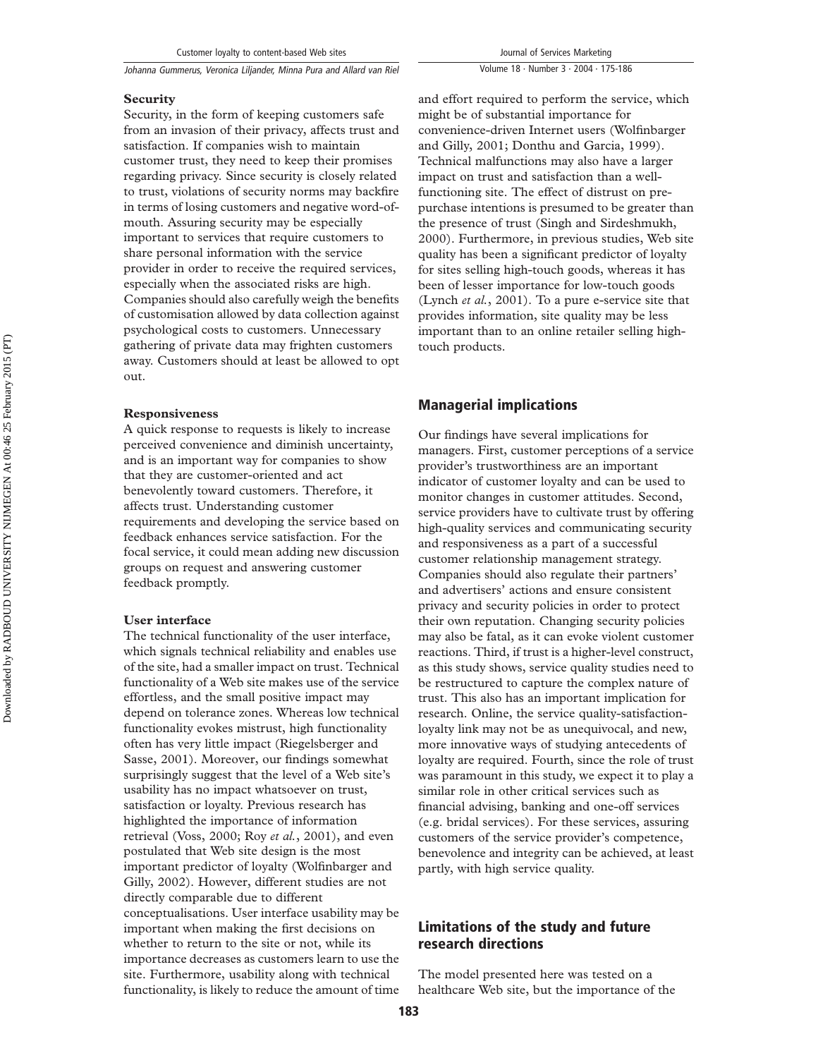### Security

Security, in the form of keeping customers safe from an invasion of their privacy, affects trust and satisfaction. If companies wish to maintain customer trust, they need to keep their promises regarding privacy. Since security is closely related to trust, violations of security norms may backfire in terms of losing customers and negative word-ofmouth. Assuring security may be especially important to services that require customers to share personal information with the service provider in order to receive the required services, especially when the associated risks are high. Companies should also carefully weigh the benefits of customisation allowed by data collection against psychological costs to customers. Unnecessary gathering of private data may frighten customers away. Customers should at least be allowed to opt out.

### Responsiveness

A quick response to requests is likely to increase perceived convenience and diminish uncertainty, and is an important way for companies to show that they are customer-oriented and act benevolently toward customers. Therefore, it affects trust. Understanding customer requirements and developing the service based on feedback enhances service satisfaction. For the focal service, it could mean adding new discussion groups on request and answering customer feedback promptly.

### User interface

The technical functionality of the user interface, which signals technical reliability and enables use of the site, had a smaller impact on trust. Technical functionality of a Web site makes use of the service effortless, and the small positive impact may depend on tolerance zones. Whereas low technical functionality evokes mistrust, high functionality often has very little impact (Riegelsberger and Sasse, 2001). Moreover, our findings somewhat surprisingly suggest that the level of a Web site's usability has no impact whatsoever on trust, satisfaction or loyalty. Previous research has highlighted the importance of information retrieval (Voss, 2000; Roy et al., 2001), and even postulated that Web site design is the most important predictor of loyalty (Wolfinbarger and Gilly, 2002). However, different studies are not directly comparable due to different conceptualisations. User interface usability may be important when making the first decisions on whether to return to the site or not, while its importance decreases as customers learn to use the site. Furthermore, usability along with technical functionality, is likely to reduce the amount of time

Volume 18 · Number 3 · 2004 · 175-186

and effort required to perform the service, which might be of substantial importance for convenience-driven Internet users (Wolfinbarger and Gilly, 2001; Donthu and Garcia, 1999). Technical malfunctions may also have a larger impact on trust and satisfaction than a wellfunctioning site. The effect of distrust on prepurchase intentions is presumed to be greater than the presence of trust (Singh and Sirdeshmukh, 2000). Furthermore, in previous studies, Web site quality has been a significant predictor of loyalty for sites selling high-touch goods, whereas it has been of lesser importance for low-touch goods (Lynch et al., 2001). To a pure e-service site that provides information, site quality may be less important than to an online retailer selling hightouch products.

### Managerial implications

Our findings have several implications for managers. First, customer perceptions of a service provider's trustworthiness are an important indicator of customer loyalty and can be used to monitor changes in customer attitudes. Second, service providers have to cultivate trust by offering high-quality services and communicating security and responsiveness as a part of a successful customer relationship management strategy. Companies should also regulate their partners' and advertisers' actions and ensure consistent privacy and security policies in order to protect their own reputation. Changing security policies may also be fatal, as it can evoke violent customer reactions. Third, if trust is a higher-level construct, as this study shows, service quality studies need to be restructured to capture the complex nature of trust. This also has an important implication for research. Online, the service quality-satisfactionloyalty link may not be as unequivocal, and new, more innovative ways of studying antecedents of loyalty are required. Fourth, since the role of trust was paramount in this study, we expect it to play a similar role in other critical services such as financial advising, banking and one-off services (e.g. bridal services). For these services, assuring customers of the service provider's competence, benevolence and integrity can be achieved, at least partly, with high service quality.

### Limitations of the study and future research directions

The model presented here was tested on a healthcare Web site, but the importance of the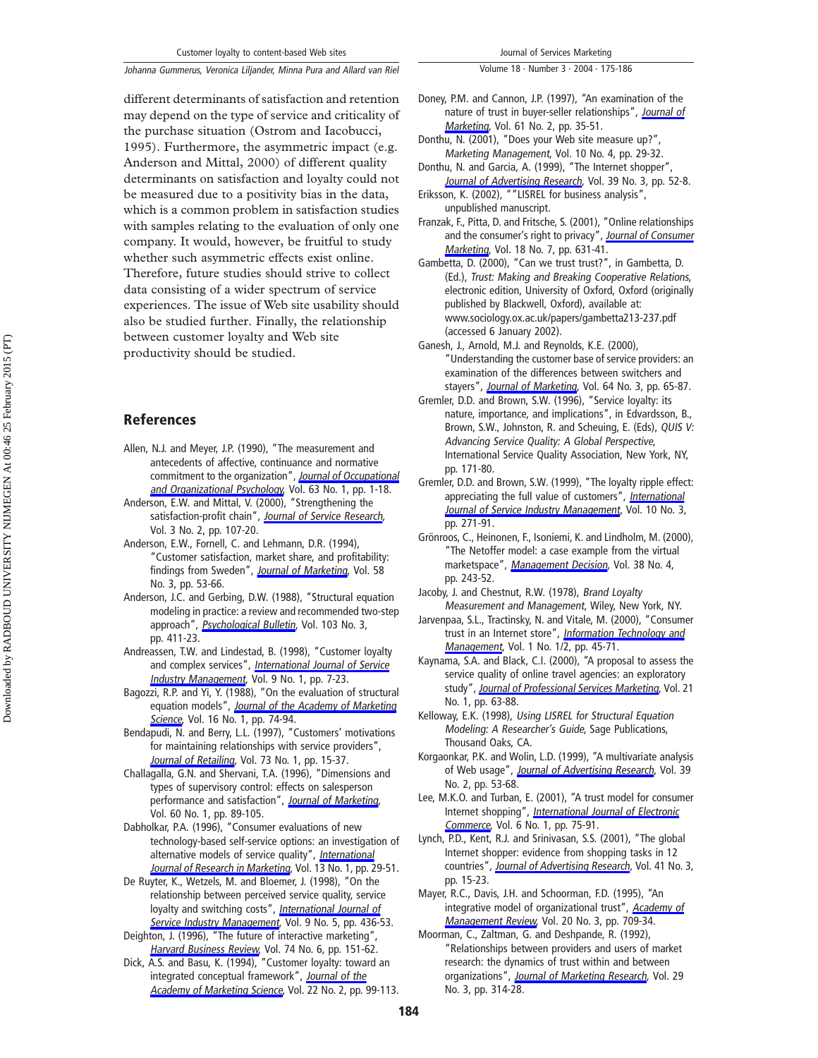Customer loyalty to content-based Web sites

Johanna Gummerus, Veronica Liljander, Minna Pura and Allard van Riel

different determinants of satisfaction and retention may depend on the type of service and criticality of the purchase situation (Ostrom and Iacobucci, 1995). Furthermore, the asymmetric impact (e.g. Anderson and Mittal, 2000) of different quality determinants on satisfaction and loyalty could not be measured due to a positivity bias in the data, which is a common problem in satisfaction studies with samples relating to the evaluation of only one company. It would, however, be fruitful to study whether such asymmetric effects exist online. Therefore, future studies should strive to collect data consisting of a wider spectrum of service experiences. The issue of Web site usability should also be studied further. Finally, the relationship between customer loyalty and Web site productivity should be studied.

### References

- Allen, N.J. and Meyer, J.P. (1990), "The measurement and antecedents of affective, continuance and normative commitment to the organization", Journal of [Occupational](http://www.emeraldinsight.com/action/showLinks?crossref=10.1111%2Fj.2044-8325.1990.tb00506.x) and [Organizational](http://www.emeraldinsight.com/action/showLinks?crossref=10.1111%2Fj.2044-8325.1990.tb00506.x) Psychology, Vol. 63 No. 1, pp. 1-18.
- Anderson, E.W. and Mittal, V. (2000), "Strengthening the satisfaction-profit chain", Journal of Service [Research](http://www.emeraldinsight.com/action/showLinks?crossref=10.1177%2F109467050032001) Vol. 3 No. 2, pp. 107-20.
- Anderson, E.W., Fornell, C. and Lehmann, D.R. (1994), "Customer satisfaction, market share, and profitability: findings from Sweden", Journal of [Marketing](http://www.emeraldinsight.com/action/showLinks?crossref=10.2307%2F1252310&isi=A1994NW35300004), Vol. 58 No. 3, pp. 53-66.
- Anderson, J.C. and Gerbing, D.W. (1988), "Structural equation modeling in practice: a review and recommended two-step approach", [Psychological](http://www.emeraldinsight.com/action/showLinks?crossref=10.1037%2F0033-2909.103.3.411&isi=A1988N286100011) Bulletin, Vol. 103 No. 3, pp. 411-23.
- Andreassen, T.W. and Lindestad, B. (1998), "Customer loyalty and complex services", [International](http://www.emeraldinsight.com/action/showLinks?system=10.1108%2F09564239810199923&isi=000072641200002) Journal of Service Industry [Management](http://www.emeraldinsight.com/action/showLinks?system=10.1108%2F09564239810199923&isi=000072641200002), Vol. 9 No. 1, pp. 7-23.
- Bagozzi, R.P. and Yi, Y. (1988), "On the evaluation of structural equation models", Journal of the Academy of [Marketing](http://www.emeraldinsight.com/action/showLinks?crossref=10.1007%2FBF02723327) [Science](http://www.emeraldinsight.com/action/showLinks?crossref=10.1007%2FBF02723327), Vol. 16 No. 1, pp. 74-94.
- Bendapudi, N. and Berry, L.L. (1997), "Customers' motivations for maintaining relationships with service providers", Journal of [Retailing](http://www.emeraldinsight.com/action/showLinks?crossref=10.1016%2FS0022-4359%2897%2990013-0&isi=A1997XB09900002), Vol. 73 No. 1, pp. 15-37.
- Challagalla, G.N. and Shervani, T.A. (1996), "Dimensions and types of supervisory control: effects on salesperson performance and satisfaction", Journal of [Marketing](http://www.emeraldinsight.com/action/showLinks?crossref=10.2307%2F1251890&isi=A1996TP97600008), Vol. 60 No. 1, pp. 89-105.
- Dabholkar, P.A. (1996), "Consumer evaluations of new technology-based self-service options: an investigation of alternative models of service quality", [International](http://www.emeraldinsight.com/action/showLinks?crossref=10.1016%2F0167-8116%2895%2900027-5) Journal of Research in [Marketing](http://www.emeraldinsight.com/action/showLinks?crossref=10.1016%2F0167-8116%2895%2900027-5), Vol. 13 No. 1, pp. 29-51.
- De Ruyter, K., Wetzels, M. and Bloemer, J. (1998), "On the relationship between perceived service quality, service loyalty and switching costs", [International](http://www.emeraldinsight.com/action/showLinks?system=10.1108%2F09564239810238848&isi=000077009100004) Journal of Service Industry [Management](http://www.emeraldinsight.com/action/showLinks?system=10.1108%2F09564239810238848&isi=000077009100004), Vol. 9 No. 5, pp. 436-53.
- Deighton, J. (1996), "The future of interactive marketing", Harvard [Business](http://www.emeraldinsight.com/action/showLinks?isi=A1996VV16800017) Review, Vol. 74 No. 6, pp. 151-62.
- Dick, A.S. and Basu, K. (1994), "Customer loyalty: toward an integrated conceptual framework", *[Journal](http://www.emeraldinsight.com/action/showLinks?crossref=10.1177%2F0092070394222001) of the* Academy of [Marketing](http://www.emeraldinsight.com/action/showLinks?crossref=10.1177%2F0092070394222001) Science, Vol. 22 No. 2, pp. 99-113.

Volume 18 · Number 3 · 2004 · 175-186

- Doney, P.M. and Cannon, J.P. (1997), "An examination of the nature of trust in buyer-seller relationships", [Journal](http://www.emeraldinsight.com/action/showLinks?crossref=10.2307%2F1251829&isi=A1997WT80400003) of [Marketing](http://www.emeraldinsight.com/action/showLinks?crossref=10.2307%2F1251829&isi=A1997WT80400003), Vol. 61 No. 2, pp. 35-51.
- Donthu, N. (2001), "Does your Web site measure up?" Marketing Management, Vol. 10 No. 4, pp. 29-32.
- Donthu, N. and Garcia, A. (1999), "The Internet shopper", Journal of [Advertising](http://www.emeraldinsight.com/action/showLinks?isi=000082122600007) Research, Vol. 39 No. 3, pp. 52-8. Eriksson, K. (2002), ""LISREL for business analysis",
- unpublished manuscript.
- Franzak, F., Pitta, D. and Fritsche, S. (2001), "Online relationships and the consumer's right to privacy", Journal of [Consumer](http://www.emeraldinsight.com/action/showLinks?system=10.1108%2FEUM0000000006256) [Marketing](http://www.emeraldinsight.com/action/showLinks?system=10.1108%2FEUM0000000006256), Vol. 18 No. 7, pp. 631-41.
- Gambetta, D. (2000), "Can we trust trust?", in Gambetta, D. (Ed.), Trust: Making and Breaking Cooperative Relations, electronic edition, University of Oxford, Oxford (originally published by Blackwell, Oxford), available at: www.sociology.ox.ac.uk/papers/gambetta213-237.pdf (accessed 6 January 2002).
- Ganesh, J., Arnold, M.J. and Reynolds, K.E. (2000), "Understanding the customer base of service providers: an examination of the differences between switchers and stayers", Journal of [Marketing](http://www.emeraldinsight.com/action/showLinks?crossref=10.1509%2Fjmkg.64.3.65.18028&isi=000088216600005), Vol. 64 No. 3, pp. 65-87.
- Gremler, D.D. and Brown, S.W. (1996), "Service loyalty: its nature, importance, and implications", in Edvardsson, B., Brown, S.W., Johnston, R. and Scheuing, E. (Eds), QUIS V: Advancing Service Quality: <sup>A</sup> Global Perspective, International Service Quality Association, New York, NY, pp. 171-80.
- Gremler, D.D. and Brown, S.W. (1999), "The loyalty ripple effect: appreciating the full value of customers", [International](http://www.emeraldinsight.com/action/showLinks?system=10.1108%2F09564239910276872&isi=000083124700002) Journal of Service Industry [Management](http://www.emeraldinsight.com/action/showLinks?system=10.1108%2F09564239910276872&isi=000083124700002), Vol. 10 No. 3, pp. 271-91.
- Grönroos, C., Heinonen, F., Isoniemi, K. and Lindholm, M. (2000), "The Netoffer model: a case example from the virtual marketspace", [Management](http://www.emeraldinsight.com/action/showLinks?system=10.1108%2F00251740010326252) Decision, Vol. 38 No. 4, pp. 243-52.
- Jacoby, J. and Chestnut, R.W. (1978), Brand Loyalty Measurement and Management, Wiley, New York, NY.
- Jarvenpaa, S.L., Tractinsky, N. and Vitale, M. (2000), "Consumer trust in an Internet store", Information [Technology](http://www.emeraldinsight.com/action/showLinks?crossref=10.1023%2FA%3A1019104520776) and [Management](http://www.emeraldinsight.com/action/showLinks?crossref=10.1023%2FA%3A1019104520776), Vol. 1 No. 1/2, pp. 45-71.
- Kaynama, S.A. and Black, C.I. (2000), "A proposal to assess the service quality of online travel agencies: an exploratory study", Journal of Professional Services [Marketing](http://www.emeraldinsight.com/action/showLinks?crossref=10.1300%2FJ090v21n01_05), Vol. 21 No. 1, pp. 63-88.
- Kelloway, E.K. (1998), Using LISREL for Structural Equation Modeling: <sup>A</sup> Researcher's Guide, Sage Publications, Thousand Oaks, CA.
- Korgaonkar, P.K. and Wolin, L.D. (1999), "A multivariate analysis of Web usage", Journal of [Advertising](http://www.emeraldinsight.com/action/showLinks?isi=000081264000006) Research, Vol. 39 No. 2, pp. 53-68.
- Lee, M.K.O. and Turban, E. (2001), "A trust model for consumer Internet shopping", [International](http://www.emeraldinsight.com/action/showLinks?isi=000171494200006) Journal of Electronic [Commerce](http://www.emeraldinsight.com/action/showLinks?isi=000171494200006), Vol. 6 No. 1, pp. 75-91.
- Lynch, P.D., Kent, R.J. and Srinivasan, S.S. (2001), "The global Internet shopper: evidence from shopping tasks in 12 countries", Journal of [Advertising](http://www.emeraldinsight.com/action/showLinks?isi=000170604100003) Research, Vol. 41 No. 3, pp. 15-23.
- Mayer, R.C., Davis, J.H. and Schoorman, F.D. (1995), "An integrative model of organizational trust", [Academy](http://www.emeraldinsight.com/action/showLinks?isi=A1995RJ62200009) of [Management](http://www.emeraldinsight.com/action/showLinks?isi=A1995RJ62200009) Review, Vol. 20 No. 3, pp. 709-34.
- Moorman, C., Zaltman, G. and Deshpande, R. (1992), "Relationships between providers and users of market research: the dynamics of trust within and between organizations", Journal of [Marketing](http://www.emeraldinsight.com/action/showLinks?crossref=10.2307%2F3172742&isi=A1992JE83200003) Research, Vol. 29 No. 3, pp. 314-28.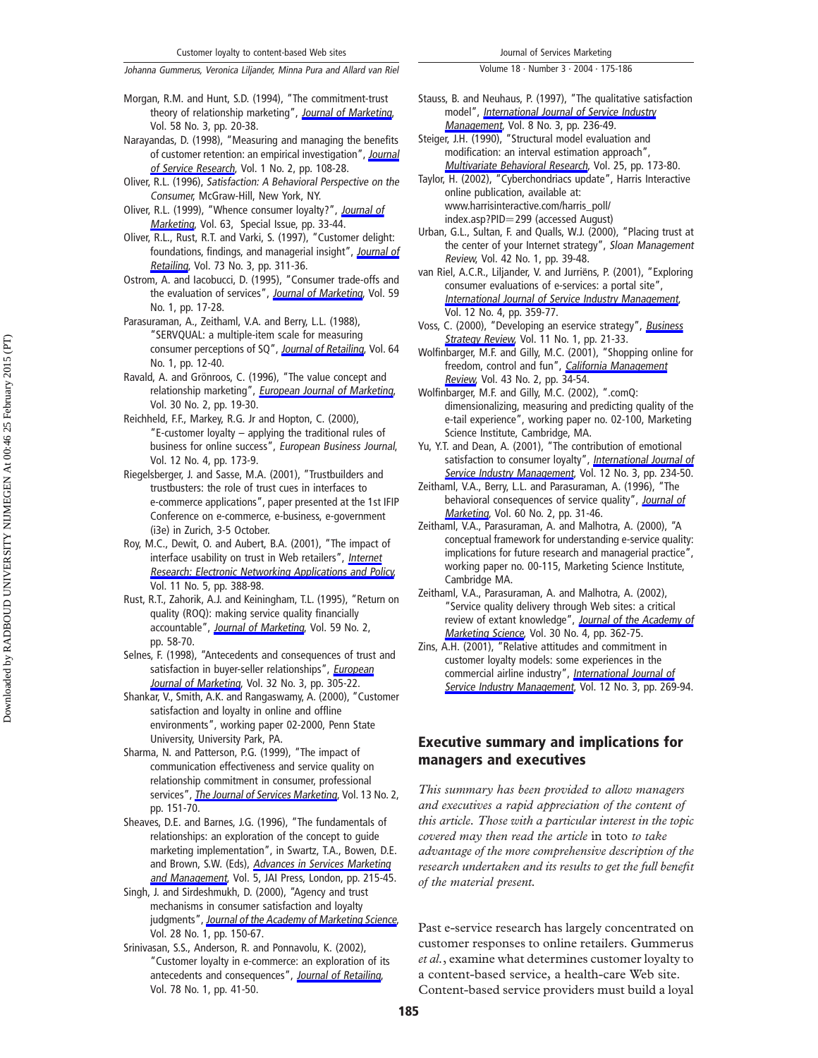- Morgan, R.M. and Hunt, S.D. (1994), "The commitment-trust theory of relationship marketing", Journal of [Marketing](http://www.emeraldinsight.com/action/showLinks?crossref=10.2307%2F1252308&isi=A1994NW35300002), Vol. 58 No. 3, pp. 20-38.
- Narayandas, D. (1998), "Measuring and managing the benefits of customer retention: an empirical investigation", [Journal](http://www.emeraldinsight.com/action/showLinks?crossref=10.1177%2F109467059800100202) of Service [Research](http://www.emeraldinsight.com/action/showLinks?crossref=10.1177%2F109467059800100202), Vol. 1 No. 2, pp. 108-28.
- Oliver, R.L. (1996), Satisfaction: <sup>A</sup> Behavioral Perspective on the Consumer, McGraw-Hill, New York, NY.
- Oliver, R.L. (1999), "Whence consumer loyalty?", [Journal](http://www.emeraldinsight.com/action/showLinks?crossref=10.2307%2F1252099&isi=000083485900005) of [Marketing](http://www.emeraldinsight.com/action/showLinks?crossref=10.2307%2F1252099&isi=000083485900005), Vol. 63, Special Issue, pp. 33-44.
- Oliver, R.L., Rust, R.T. and Varki, S. (1997), "Customer delight: foundations, findings, and managerial insight", *[Journal](http://www.emeraldinsight.com/action/showLinks?crossref=10.1016%2FS0022-4359%2897%2990021-X&isi=A1997YE95800002) of* [Retailing](http://www.emeraldinsight.com/action/showLinks?crossref=10.1016%2FS0022-4359%2897%2990021-X&isi=A1997YE95800002), Vol. 73 No. 3, pp. 311-36.
- Ostrom, A. and Iacobucci, D. (1995), "Consumer trade-offs and the evaluation of services", Journal of [Marketing](http://www.emeraldinsight.com/action/showLinks?crossref=10.2307%2F1252011&isi=A1995QB35100002), Vol. 59 No. 1, pp. 17-28.
- Parasuraman, A., Zeithaml, V.A. and Berry, L.L. (1988), "SERVQUAL: a multiple-item scale for measuring consumer perceptions of SQ", Journal of [Retailing](http://www.emeraldinsight.com/action/showLinks?isi=A1988N540200002), Vol. 64 No. 1, pp. 12-40.
- Ravald, A. and Grönroos, C. (1996), "The value concept and relationship marketing", European Journal of [Marketing](http://www.emeraldinsight.com/action/showLinks?system=10.1108%2F03090569610106626), Vol. 30 No. 2, pp. 19-30.
- Reichheld, F.F., Markey, R.G. Jr and Hopton, C. (2000), "E-customer loyalty – applying the traditional rules of business for online success", European Business Journal, Vol. 12 No. 4, pp. 173-9.
- Riegelsberger, J. and Sasse, M.A. (2001), "Trustbuilders and trustbusters: the role of trust cues in interfaces to e-commerce applications", paper presented at the 1st IFIP Conference on e-commerce, e-business, e-government (i3e) in Zurich, 3-5 October.
- Roy, M.C., Dewit, O. and Aubert, B.A. (2001), "The impact of interface usability on trust in Web retailers", [Internet](http://www.emeraldinsight.com/action/showLinks?system=10.1108%2F10662240110410165&isi=000172111500003) Research: Electronic Networking [Applications](http://www.emeraldinsight.com/action/showLinks?system=10.1108%2F10662240110410165&isi=000172111500003) and Policy, Vol. 11 No. 5, pp. 388-98.
- Rust, R.T., Zahorik, A.J. and Keiningham, T.L. (1995), "Return on quality (ROQ): making service quality financially accountable", Journal of [Marketing](http://www.emeraldinsight.com/action/showLinks?crossref=10.2307%2F1252073&isi=A1995QQ63900005), Vol. 59 No. 2, pp. 58-70.
- Selnes, F. (1998), "Antecedents and consequences of trust and satisfaction in buyer-seller relationships", [European](http://www.emeraldinsight.com/action/showLinks?system=10.1108%2F03090569810204580) Journal of [Marketing](http://www.emeraldinsight.com/action/showLinks?system=10.1108%2F03090569810204580), Vol. 32 No. 3, pp. 305-22.
- Shankar, V., Smith, A.K. and Rangaswamy, A. (2000), "Customer satisfaction and loyalty in online and offline environments", working paper 02-2000, Penn State University, University Park, PA.
- Sharma, N. and Patterson, P.G. (1999), "The impact of communication effectiveness and service quality on relationship commitment in consumer, professional services", The Journal of Services [Marketing](http://www.emeraldinsight.com/action/showLinks?system=10.1108%2F08876049910266059), Vol. 13 No. 2, pp. 151-70.
- Sheaves, D.E. and Barnes, J.G. (1996), "The fundamentals of relationships: an exploration of the concept to guide marketing implementation", in Swartz, T.A., Bowen, D.E. and Brown, S.W. (Eds), Advances in Services [Marketing](http://www.emeraldinsight.com/action/showLinks?crossref=10.1016%2FS1067-5671%2896%2905058-5) and [Management](http://www.emeraldinsight.com/action/showLinks?crossref=10.1016%2FS1067-5671%2896%2905058-5), Vol. 5, JAI Press, London, pp. 215-45.
- Singh, J. and Sirdeshmukh, D. (2000), "Agency and trust mechanisms in consumer satisfaction and loyalty judgments", Journal of the Academy of [Marketing](http://www.emeraldinsight.com/action/showLinks?crossref=10.1177%2F0092070300281014&isi=000084543900014) Science, Vol. 28 No. 1, pp. 150-67.
- Srinivasan, S.S., Anderson, R. and Ponnavolu, K. (2002), "Customer loyalty in e-commerce: an exploration of its antecedents and consequences", Journal of [Retailing](http://www.emeraldinsight.com/action/showLinks?crossref=10.1016%2FS0022-4359%2801%2900065-3&isi=000176323100004), Vol. 78 No. 1, pp. 41-50.

Volume 18 · Number 3 · 2004 · 175-186

- Stauss, B. and Neuhaus, P. (1997), "The qualitative satisfaction model", [International](http://www.emeraldinsight.com/action/showLinks?system=10.1108%2F09564239710185424&isi=A1997XZ52600005) Journal of Service Industry [Management](http://www.emeraldinsight.com/action/showLinks?system=10.1108%2F09564239710185424&isi=A1997XZ52600005), Vol. 8 No. 3, pp. 236-49.
- Steiger, J.H. (1990), "Structural model evaluation and modification: an interval estimation approach", [Multivariate](http://www.emeraldinsight.com/action/showLinks?crossref=10.1207%2Fs15327906mbr2502_4&isi=A1990DZ95200004) Behavioral Research, Vol. 25, pp. 173-80.
- Taylor, H. (2002), "Cyberchondriacs update", Harris Interactive online publication, available at: www.harrisinteractive.com/harris\_poll/ index.asp?PID=299 (accessed August)
- Urban, G.L., Sultan, F. and Qualls, W.J. (2000), "Placing trust at the center of your Internet strategy", Sloan Management Review, Vol. 42 No. 1, pp. 39-48.
- van Riel, A.C.R., Liljander, V. and Jurriëns, P. (2001), "Exploring consumer evaluations of e-services: a portal site", International Journal of Service Industry [Management](http://www.emeraldinsight.com/action/showLinks?system=10.1108%2F09564230110405280), Vol. 12 No. 4, pp. 359-77.
- Voss, C. (2000), "Developing an eservice strategy", [Business](http://www.emeraldinsight.com/action/showLinks?crossref=10.1111%2F1467-8616.00126) [Strategy](http://www.emeraldinsight.com/action/showLinks?crossref=10.1111%2F1467-8616.00126) Review, Vol. 11 No. 1, pp. 21-33.
- Wolfinbarger, M.F. and Gilly, M.C. (2001), "Shopping online for freedom, control and fun", California [Management](http://www.emeraldinsight.com/action/showLinks?crossref=10.2307%2F41166074) [Review](http://www.emeraldinsight.com/action/showLinks?crossref=10.2307%2F41166074), Vol. 43 No. 2, pp. 34-54.
- Wolfinbarger, M.F. and Gilly, M.C. (2002), ".comQ: dimensionalizing, measuring and predicting quality of the e-tail experience", working paper no. 02-100, Marketing Science Institute, Cambridge, MA.
- Yu, Y.T. and Dean, A. (2001), "The contribution of emotional satisfaction to consumer loyalty", [International](http://www.emeraldinsight.com/action/showLinks?system=10.1108%2F09564230110393239&isi=000171542100003) Journal of Service Industry [Management](http://www.emeraldinsight.com/action/showLinks?system=10.1108%2F09564230110393239&isi=000171542100003), Vol. 12 No. 3, pp. 234-50.
- Zeithaml, V.A., Berry, L.L. and Parasuraman, A. (1996), "The behavioral consequences of service quality", [Journal](http://www.emeraldinsight.com/action/showLinks?crossref=10.2307%2F1251929&isi=A1996UD08800003) of [Marketing](http://www.emeraldinsight.com/action/showLinks?crossref=10.2307%2F1251929&isi=A1996UD08800003), Vol. 60 No. 2, pp. 31-46.
- Zeithaml, V.A., Parasuraman, A. and Malhotra, A. (2000), "A conceptual framework for understanding e-service quality: implications for future research and managerial practice", working paper no. 00-115, Marketing Science Institute, Cambridge MA.
- Zeithaml, V.A., Parasuraman, A. and Malhotra, A. (2002), "Service quality delivery through Web sites: a critical review of extant knowledge", Journal of the [Academy](http://www.emeraldinsight.com/action/showLinks?crossref=10.1177%2F009207002236911&isi=000178049300007) of [Marketing](http://www.emeraldinsight.com/action/showLinks?crossref=10.1177%2F009207002236911&isi=000178049300007) Science, Vol. 30 No. 4, pp. 362-75.
- Zins, A.H. (2001), "Relative attitudes and commitment in customer loyalty models: some experiences in the commercial airline industry", [International](http://www.emeraldinsight.com/action/showLinks?system=10.1108%2FEUM0000000005521&isi=000171542100005) Journal of Service Industry [Management](http://www.emeraldinsight.com/action/showLinks?system=10.1108%2FEUM0000000005521&isi=000171542100005), Vol. 12 No. 3, pp. 269-94.

### Executive summary and implications for managers and executives

This summary has been provided to allow managers and executives a rapid appreciation of the content of this article. Those with a particular interest in the topic covered may then read the article in toto to take advantage of the more comprehensive description of the research undertaken and its results to get the full benefit of the material present.

Past e-service research has largely concentrated on customer responses to online retailers. Gummerus et al., examine what determines customer loyalty to a content-based service, a health-care Web site. Content-based service providers must build a loyal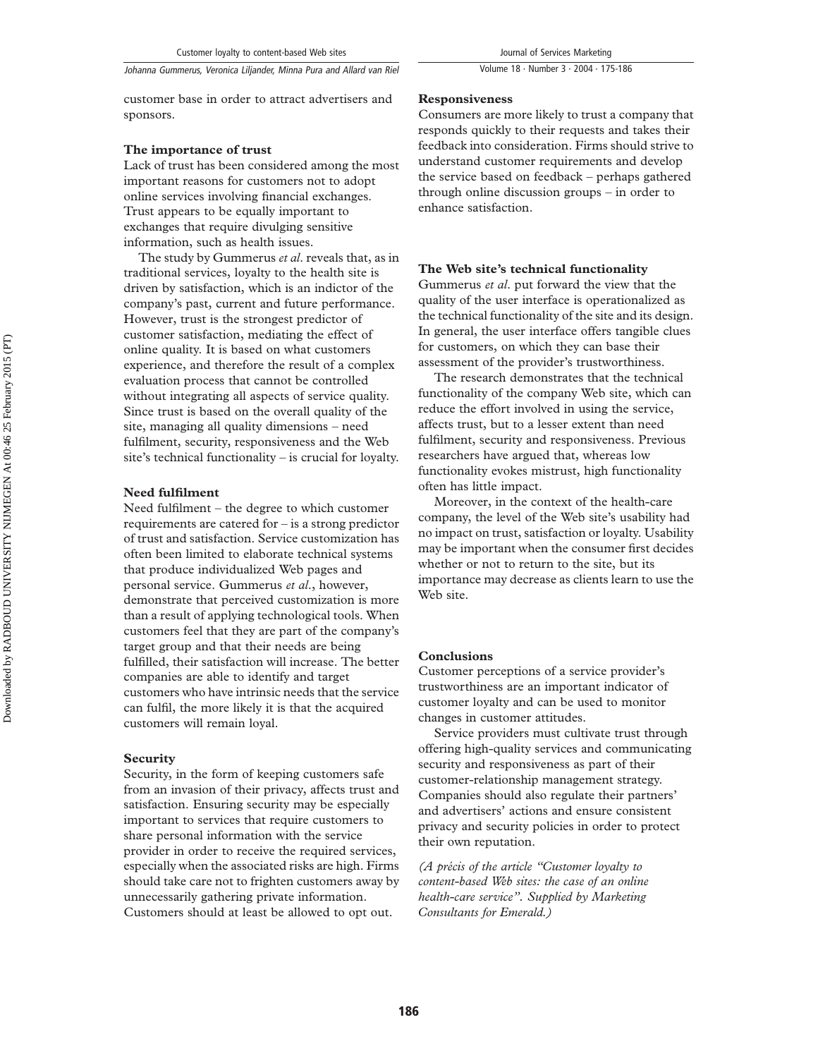customer base in order to attract advertisers and sponsors.

### The importance of trust

Lack of trust has been considered among the most important reasons for customers not to adopt online services involving financial exchanges. Trust appears to be equally important to exchanges that require divulging sensitive information, such as health issues.

The study by Gummerus et al. reveals that, as in traditional services, loyalty to the health site is driven by satisfaction, which is an indictor of the company's past, current and future performance. However, trust is the strongest predictor of customer satisfaction, mediating the effect of online quality. It is based on what customers experience, and therefore the result of a complex evaluation process that cannot be controlled without integrating all aspects of service quality. Since trust is based on the overall quality of the site, managing all quality dimensions – need fulfilment, security, responsiveness and the Web site's technical functionality – is crucial for loyalty.

### Need fulfilment

Need fulfilment – the degree to which customer requirements are catered for – is a strong predictor of trust and satisfaction. Service customization has often been limited to elaborate technical systems that produce individualized Web pages and personal service. Gummerus et al., however, demonstrate that perceived customization is more than a result of applying technological tools. When customers feel that they are part of the company's target group and that their needs are being fulfilled, their satisfaction will increase. The better companies are able to identify and target customers who have intrinsic needs that the service can fulfil, the more likely it is that the acquired customers will remain loyal.

### **Security**

Security, in the form of keeping customers safe from an invasion of their privacy, affects trust and satisfaction. Ensuring security may be especially important to services that require customers to share personal information with the service provider in order to receive the required services, especially when the associated risks are high. Firms should take care not to frighten customers away by unnecessarily gathering private information. Customers should at least be allowed to opt out.

### Responsiveness

Consumers are more likely to trust a company that responds quickly to their requests and takes their feedback into consideration. Firms should strive to understand customer requirements and develop the service based on feedback – perhaps gathered through online discussion groups – in order to enhance satisfaction.

### The Web site's technical functionality

Gummerus et al. put forward the view that the quality of the user interface is operationalized as the technical functionality of the site and its design. In general, the user interface offers tangible clues for customers, on which they can base their assessment of the provider's trustworthiness.

The research demonstrates that the technical functionality of the company Web site, which can reduce the effort involved in using the service, affects trust, but to a lesser extent than need fulfilment, security and responsiveness. Previous researchers have argued that, whereas low functionality evokes mistrust, high functionality often has little impact.

Moreover, in the context of the health-care company, the level of the Web site's usability had no impact on trust, satisfaction or loyalty. Usability may be important when the consumer first decides whether or not to return to the site, but its importance may decrease as clients learn to use the Web site.

### Conclusions

Customer perceptions of a service provider's trustworthiness are an important indicator of customer loyalty and can be used to monitor changes in customer attitudes.

Service providers must cultivate trust through offering high-quality services and communicating security and responsiveness as part of their customer-relationship management strategy. Companies should also regulate their partners' and advertisers' actions and ensure consistent privacy and security policies in order to protect their own reputation.

( $A$  précis of the article "Customer loyalty to content-based Web sites: the case of an online health-care service". Supplied by Marketing Consultants for Emerald.)

Volume 18 · Number 3 · 2004 · 175-186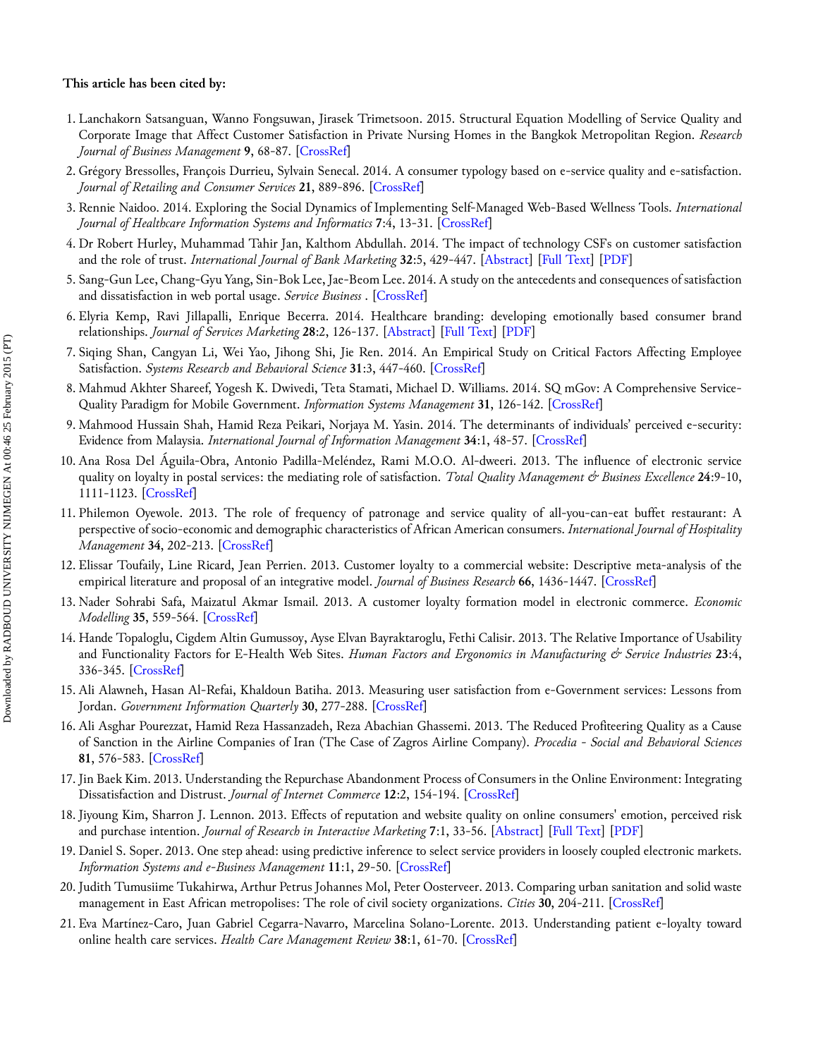### **This article has been cited by:**

- 1. Lanchakorn Satsanguan, Wanno Fongsuwan, Jirasek Trimetsoon. 2015. Structural Equation Modelling of Service Quality and Corporate Image that Affect Customer Satisfaction in Private Nursing Homes in the Bangkok Metropolitan Region. *Research Journal of Business Management* **9**, 68-87. [[CrossRef\]](http://dx.doi.org/10.3923/rjbm.2015.68.87)
- 2. Grégory Bressolles, François Durrieu, Sylvain Senecal. 2014. A consumer typology based on e-service quality and e-satisfaction. *Journal of Retailing and Consumer Services* **21**, 889-896. [\[CrossRef](http://dx.doi.org/10.1016/j.jretconser.2014.07.004)]
- 3. Rennie Naidoo. 2014. Exploring the Social Dynamics of Implementing Self-Managed Web-Based Wellness Tools. *International Journal of Healthcare Information Systems and Informatics* **7**:4, 13-31. [\[CrossRef](http://dx.doi.org/10.4018/jhisi.2012100102)]
- 4.Dr Robert Hurley, Muhammad Tahir Jan, Kalthom Abdullah. 2014. The impact of technology CSFs on customer satisfaction and the role of trust. *International Journal of Bank Marketing* **32**:5, 429-447. [\[Abstract](http://dx.doi.org/10.1108/IJBM-11-2013-0139)] [\[Full Text](http://www.emeraldinsight.com/doi/full/10.1108/IJBM-11-2013-0139)] [\[PDF\]](http://www.emeraldinsight.com/doi/pdfplus/10.1108/IJBM-11-2013-0139)
- 5. Sang-Gun Lee, Chang-Gyu Yang, Sin-Bok Lee, Jae-Beom Lee. 2014. A study on the antecedents and consequences of satisfaction and dissatisfaction in web portal usage. *Service Business* . [[CrossRef\]](http://dx.doi.org/10.1007/s11628-014-0240-3)
- 6. Elyria Kemp, Ravi Jillapalli, Enrique Becerra. 2014. Healthcare branding: developing emotionally based consumer brand relationships. *Journal of Services Marketing* **28**:2, 126-137. [[Abstract\]](http://dx.doi.org/10.1108/JSM-08-2012-0157) [[Full Text\]](http://www.emeraldinsight.com/doi/full/10.1108/JSM-08-2012-0157) [\[PDF](http://www.emeraldinsight.com/doi/pdfplus/10.1108/JSM-08-2012-0157)]
- 7. Siqing Shan, Cangyan Li, Wei Yao, Jihong Shi, Jie Ren. 2014. An Empirical Study on Critical Factors Affecting Employee Satisfaction. *Systems Research and Behavioral Science* **31**:3, 447-460. [[CrossRef\]](http://dx.doi.org/10.1002/sres.2284)
- 8. Mahmud Akhter Shareef, Yogesh K. Dwivedi, Teta Stamati, Michael D. Williams. 2014. SQ mGov: A Comprehensive Service-Quality Paradigm for Mobile Government. *Information Systems Management* **31**, 126-142. [[CrossRef\]](http://dx.doi.org/10.1080/10580530.2014.890432)
- 9. Mahmood Hussain Shah, Hamid Reza Peikari, Norjaya M. Yasin. 2014. The determinants of individuals' perceived e-security: Evidence from Malaysia. *International Journal of Information Management* **34**:1, 48-57. [[CrossRef\]](http://dx.doi.org/10.1016/j.ijinfomgt.2013.10.001)
- 10. Ana Rosa Del Águila-Obra, Antonio Padilla-Meléndez, Rami M.O.O. Al-dweeri. 2013. The influence of electronic service quality on loyalty in postal services: the mediating role of satisfaction. *Total Quality Management & Business Excellence* **24**:9-10, 1111-1123. [[CrossRef\]](http://dx.doi.org/10.1080/14783363.2013.807681)
- 11. Philemon Oyewole. 2013. The role of frequency of patronage and service quality of all-you-can-eat buffet restaurant: A perspective of socio-economic and demographic characteristics of African American consumers. *International Journal of Hospitality Management* **34**, 202-213. [[CrossRef\]](http://dx.doi.org/10.1016/j.ijhm.2013.03.005)
- 12. Elissar Toufaily, Line Ricard, Jean Perrien. 2013. Customer loyalty to a commercial website: Descriptive meta-analysis of the empirical literature and proposal of an integrative model. *Journal of Business Research* **66**, 1436-1447. [[CrossRef\]](http://dx.doi.org/10.1016/j.jbusres.2012.05.011)
- 13. Nader Sohrabi Safa, Maizatul Akmar Ismail. 2013. A customer loyalty formation model in electronic commerce. *Economic Modelling* **35**, 559-564. [\[CrossRef](http://dx.doi.org/10.1016/j.econmod.2013.08.011)]
- 14. Hande Topaloglu, Cigdem Altin Gumussoy, Ayse Elvan Bayraktaroglu, Fethi Calisir. 2013. The Relative Importance of Usability and Functionality Factors for E-Health Web Sites. *Human Factors and Ergonomics in Manufacturing & Service Industries* **23**:4, 336-345. [\[CrossRef](http://dx.doi.org/10.1002/hfm.20319)]
- 15. Ali Alawneh, Hasan Al-Refai, Khaldoun Batiha. 2013. Measuring user satisfaction from e-Government services: Lessons from Jordan. *Government Information Quarterly* **30**, 277-288. [[CrossRef\]](http://dx.doi.org/10.1016/j.giq.2013.03.001)
- 16. Ali Asghar Pourezzat, Hamid Reza Hassanzadeh, Reza Abachian Ghassemi. 2013. The Reduced Profiteering Quality as a Cause of Sanction in the Airline Companies of Iran (The Case of Zagros Airline Company). *Procedia - Social and Behavioral Sciences* **81**, 576-583. [\[CrossRef](http://dx.doi.org/10.1016/j.sbspro.2013.06.479)]
- 17. Jin Baek Kim. 2013. Understanding the Repurchase Abandonment Process of Consumers in the Online Environment: Integrating Dissatisfaction and Distrust. *Journal of Internet Commerce* **12**:2, 154-194. [\[CrossRef](http://dx.doi.org/10.1080/15332861.2013.817863)]
- 18. Jiyoung Kim, Sharron J. Lennon. 2013. Effects of reputation and website quality on online consumers' emotion, perceived risk and purchase intention. *Journal of Research in Interactive Marketing* **7**:1, 33-56. [\[Abstract](http://dx.doi.org/10.1108/17505931311316734)] [\[Full Text](http://www.emeraldinsight.com/doi/full/10.1108/17505931311316734)] [\[PDF\]](http://www.emeraldinsight.com/doi/pdfplus/10.1108/17505931311316734)
- 19.Daniel S. Soper. 2013. One step ahead: using predictive inference to select service providers in loosely coupled electronic markets. *Information Systems and e-Business Management* **11**:1, 29-50. [\[CrossRef](http://dx.doi.org/10.1007/s10257-011-0179-z)]
- 20. Judith Tumusiime Tukahirwa, Arthur Petrus Johannes Mol, Peter Oosterveer. 2013. Comparing urban sanitation and solid waste management in East African metropolises: The role of civil society organizations. *Cities* **30**, 204-211. [\[CrossRef](http://dx.doi.org/10.1016/j.cities.2012.03.007)]
- 21. Eva Martínez-Caro, Juan Gabriel Cegarra-Navarro, Marcelina Solano-Lorente. 2013. Understanding patient e-loyalty toward online health care services. *Health Care Management Review* **38**:1, 61-70. [[CrossRef\]](http://dx.doi.org/10.1097/HMR.0b013e31824b1c6b)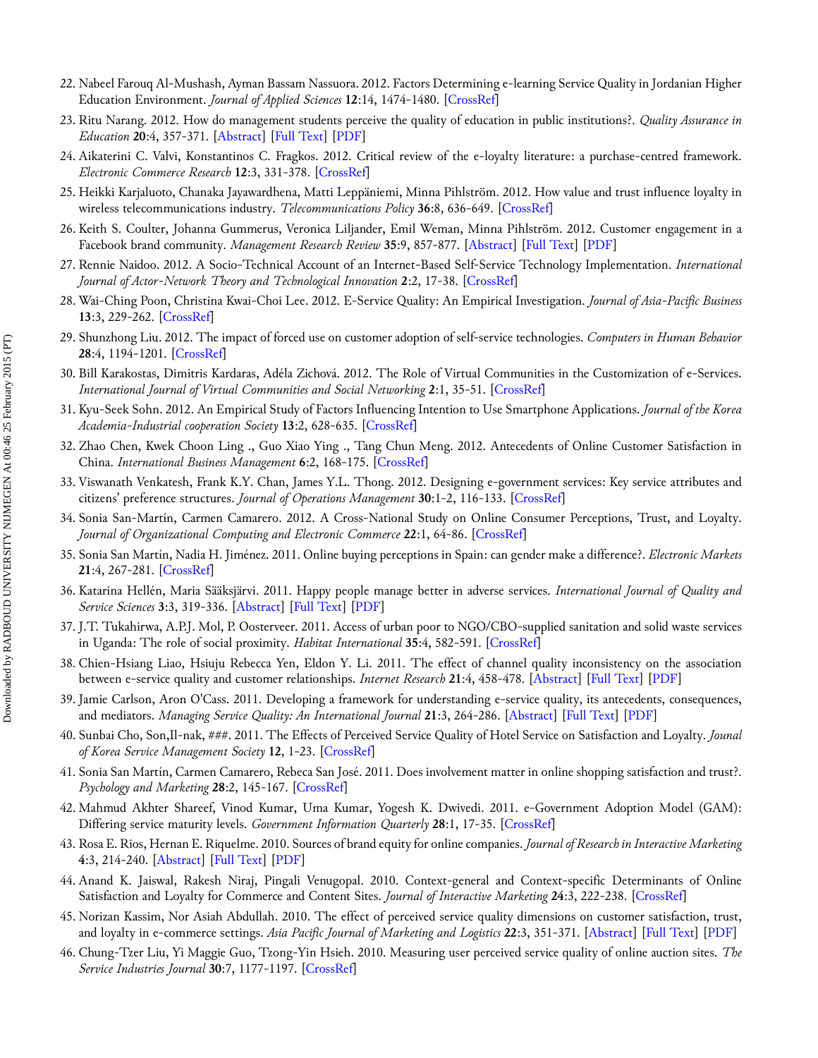- 22. Nabeel Farouq Al-Mushash, Ayman Bassam Nassuora. 2012. Factors Determining e-learning Service Quality in Jordanian Higher Education Environment. *Journal of Applied Sciences* **12**:14, 1474-1480. [\[CrossRef](http://dx.doi.org/10.3923/jas.2012.1474.1480)]
- 23. Ritu Narang. 2012. How do management students perceive the quality of education in public institutions?. *Quality Assurance in Education* **20**:4, 357-371. [\[Abstract](http://dx.doi.org/10.1108/09684881211263993)] [\[Full Text](http://www.emeraldinsight.com/doi/full/10.1108/09684881211263993)] [[PDF\]](http://www.emeraldinsight.com/doi/pdfplus/10.1108/09684881211263993)
- 24. Aikaterini C. Valvi, Konstantinos C. Fragkos. 2012. Critical review of the e-loyalty literature: a purchase-centred framework. *Electronic Commerce Research* **12**:3, 331-378. [[CrossRef\]](http://dx.doi.org/10.1007/s10660-012-9097-5)
- 25. Heikki Karjaluoto, Chanaka Jayawardhena, Matti Leppäniemi, Minna Pihlström. 2012. How value and trust influence loyalty in wireless telecommunications industry. *Telecommunications Policy* **36**:8, 636-649. [[CrossRef\]](http://dx.doi.org/10.1016/j.telpol.2012.04.012)
- 26. Keith S. Coulter, Johanna Gummerus, Veronica Liljander, Emil Weman, Minna Pihlström. 2012. Customer engagement in a Facebook brand community. *Management Research Review* **35**:9, 857-877. [\[Abstract](http://dx.doi.org/10.1108/01409171211256578)] [\[Full Text](http://www.emeraldinsight.com/doi/full/10.1108/01409171211256578)] [\[PDF\]](http://www.emeraldinsight.com/doi/pdfplus/10.1108/01409171211256578)
- 27. Rennie Naidoo. 2012. A Socio-Technical Account of an Internet-Based Self-Service Technology Implementation. *International Journal of Actor-Network Theory and Technological Innovation* **2**:2, 17-38. [\[CrossRef](http://dx.doi.org/10.4018/jantti.2010040102)]
- 28. Wai-Ching Poon, Christina Kwai-Choi Lee. 2012. E-Service Quality: An Empirical Investigation. *Journal of Asia-Pacific Business* **13**:3, 229-262. [[CrossRef\]](http://dx.doi.org/10.1080/10599231.2012.690682)
- 29. Shunzhong Liu. 2012. The impact of forced use on customer adoption of self-service technologies. *Computers in Human Behavior* **28**:4, 1194-1201. [[CrossRef\]](http://dx.doi.org/10.1016/j.chb.2012.02.002)
- 30. Bill Karakostas, Dimitris Kardaras, Adéla Zichová. 2012. The Role of Virtual Communities in the Customization of e-Services. *International Journal of Virtual Communities and Social Networking* **2**:1, 35-51. [[CrossRef\]](http://dx.doi.org/10.4018/jvcsn.2010010103)
- 31. Kyu-Seek Sohn. 2012. An Empirical Study of Factors Influencing Intention to Use Smartphone Applications. *Journal of the Korea Academia-Industrial cooperation Society* **13**:2, 628-635. [\[CrossRef](http://dx.doi.org/10.5762/KAIS.2012.13.2.628)]
- 32. Zhao Chen, Kwek Choon Ling ., Guo Xiao Ying ., Tang Chun Meng. 2012. Antecedents of Online Customer Satisfaction in China. *International Business Management* **6**:2, 168-175. [[CrossRef\]](http://dx.doi.org/10.3923/ibm.2012.168.175)
- 33. Viswanath Venkatesh, Frank K.Y. Chan, James Y.L. Thong. 2012. Designing e-government services: Key service attributes and citizens' preference structures. *Journal of Operations Management* **30**:1-2, 116-133. [[CrossRef\]](http://dx.doi.org/10.1016/j.jom.2011.10.001)
- 34. Sonia San-Martín, Carmen Camarero. 2012. A Cross-National Study on Online Consumer Perceptions, Trust, and Loyalty. *Journal of Organizational Computing and Electronic Commerce* **22**:1, 64-86. [[CrossRef\]](http://dx.doi.org/10.1080/10919392.2012.642763)
- 35. Sonia San Martín, Nadia H. Jiménez. 2011. Online buying perceptions in Spain: can gender make a difference?. *Electronic Markets* **21**:4, 267-281. [[CrossRef\]](http://dx.doi.org/10.1007/s12525-011-0074-y)
- 36. Katarina Hellén, Maria Sääksjärvi. 2011. Happy people manage better in adverse services. *International Journal of Quality and Service Sciences* **3**:3, 319-336. [\[Abstract](http://dx.doi.org/10.1108/17566691111182861)] [\[Full Text](http://www.emeraldinsight.com/doi/full/10.1108/17566691111182861)] [[PDF\]](http://www.emeraldinsight.com/doi/pdfplus/10.1108/17566691111182861)
- 37. J.T. Tukahirwa, A.P.J. Mol, P. Oosterveer. 2011. Access of urban poor to NGO/CBO-supplied sanitation and solid waste services in Uganda: The role of social proximity. *Habitat International* **35**:4, 582-591. [\[CrossRef](http://dx.doi.org/10.1016/j.habitatint.2011.03.006)]
- 38. Chien‐Hsiang Liao, Hsiuju Rebecca Yen, Eldon Y. Li. 2011. The effect of channel quality inconsistency on the association between e‐service quality and customer relationships. *Internet Research* **21**:4, 458-478. [[Abstract\]](http://dx.doi.org/10.1108/10662241111158326) [[Full Text\]](http://www.emeraldinsight.com/doi/full/10.1108/10662241111158326) [[PDF](http://www.emeraldinsight.com/doi/pdfplus/10.1108/10662241111158326)]
- 39. Jamie Carlson, Aron O'Cass. 2011. Developing a framework for understanding e‐service quality, its antecedents, consequences, and mediators. *Managing Service Quality: An International Journal* **21**:3, 264-286. [[Abstract\]](http://dx.doi.org/10.1108/09604521111127965) [\[Full Text](http://www.emeraldinsight.com/doi/full/10.1108/09604521111127965)] [\[PDF](http://www.emeraldinsight.com/doi/pdfplus/10.1108/09604521111127965)]
- 40. Sunbai Cho, Son, Il-nak, ###. 2011. The Effects of Perceived Service Quality of Hotel Service on Satisfaction and Loyalty. *Jounal of Korea Service Management Society* **12**, 1-23. [[CrossRef\]](http://dx.doi.org/10.15706/jksms.2011.12.1.001)
- 41. Sonia San Martín, Carmen Camarero, Rebeca San José. 2011. Does involvement matter in online shopping satisfaction and trust?. *Psychology and Marketing* **28**:2, 145-167. [\[CrossRef](http://dx.doi.org/10.1002/mar.20384)]
- 42. Mahmud Akhter Shareef, Vinod Kumar, Uma Kumar, Yogesh K. Dwivedi. 2011. e-Government Adoption Model (GAM): Differing service maturity levels. *Government Information Quarterly* **28**:1, 17-35. [\[CrossRef](http://dx.doi.org/10.1016/j.giq.2010.05.006)]
- 43. Rosa E. Rios, Hernan E. Riquelme. 2010. Sources of brand equity for online companies. *Journal of Research in Interactive Marketing* **4**:3, 214-240. [[Abstract\]](http://dx.doi.org/10.1108/17505931011070587) [[Full Text\]](http://www.emeraldinsight.com/doi/full/10.1108/17505931011070587) [[PDF](http://www.emeraldinsight.com/doi/pdfplus/10.1108/17505931011070587)]
- 44. Anand K. Jaiswal, Rakesh Niraj, Pingali Venugopal. 2010. Context-general and Context-specific Determinants of Online Satisfaction and Loyalty for Commerce and Content Sites. *Journal of Interactive Marketing* **24**:3, 222-238. [\[CrossRef](http://dx.doi.org/10.1016/j.intmar.2010.04.003)]
- 45. Norizan Kassim, Nor Asiah Abdullah. 2010. The effect of perceived service quality dimensions on customer satisfaction, trust, and loyalty in e‐commerce settings. *Asia Pacific Journal of Marketing and Logistics* **22**:3, 351-371. [\[Abstract](http://dx.doi.org/10.1108/13555851011062269)] [[Full Text\]](http://www.emeraldinsight.com/doi/full/10.1108/13555851011062269) [[PDF\]](http://www.emeraldinsight.com/doi/pdfplus/10.1108/13555851011062269)
- 46. Chung-Tzer Liu, Yi Maggie Guo, Tzong-Yin Hsieh. 2010. Measuring user perceived service quality of online auction sites. *The Service Industries Journal* **30**:7, 1177-1197. [\[CrossRef](http://dx.doi.org/10.1080/02642060802617575)]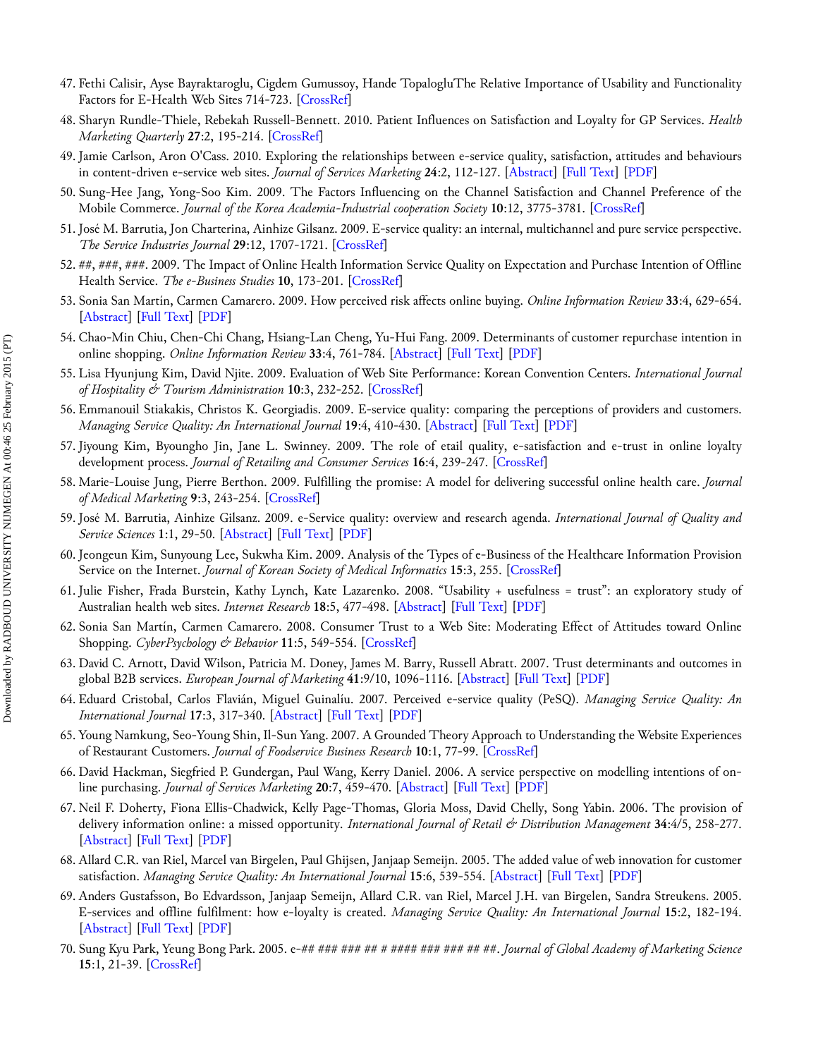- 47. Fethi Calisir, Ayse Bayraktaroglu, Cigdem Gumussoy, Hande TopalogluThe Relative Importance of Usability and Functionality Factors for E-Health Web Sites 714-723. [\[CrossRef](http://dx.doi.org/10.1201/EBK1439834978-c79)]
- 48. Sharyn Rundle-Thiele, Rebekah Russell-Bennett. 2010. Patient Influences on Satisfaction and Loyalty for GP Services. *Health Marketing Quarterly* **27**:2, 195-214. [\[CrossRef](http://dx.doi.org/10.1080/07359681003745162)]
- 49. Jamie Carlson, Aron O'Cass. 2010. Exploring the relationships between e-service quality, satisfaction, attitudes and behaviours in content-driven e-service web sites. *Journal of Services Marketing* 24:2, 112-127. [[Abstract\]](http://dx.doi.org/10.1108/08876041011031091) [\[Full Text](http://www.emeraldinsight.com/doi/full/10.1108/08876041011031091)] [\[PDF](http://www.emeraldinsight.com/doi/pdfplus/10.1108/08876041011031091)]
- 50. Sung-Hee Jang, Yong-Soo Kim. 2009. The Factors Influencing on the Channel Satisfaction and Channel Preference of the Mobile Commerce. *Journal of the Korea Academia-Industrial cooperation Society* **10**:12, 3775-3781. [[CrossRef\]](http://dx.doi.org/10.5762/KAIS.2009.10.12.3775)
- 51. José M. Barrutia, Jon Charterina, Ainhize Gilsanz. 2009. E-service quality: an internal, multichannel and pure service perspective. *The Service Industries Journal* **29**:12, 1707-1721. [[CrossRef\]](http://dx.doi.org/10.1080/02642060902793508)
- 52. ##, ###, ###. 2009. The Impact of Online Health Information Service Quality on Expectation and Purchase Intention of Offline Health Service. *The e-Business Studies* **10**, 173-201. [\[CrossRef\]](http://dx.doi.org/10.15719/geba.10.3.200909.173)
- 53. Sonia San Martín, Carmen Camarero. 2009. How perceived risk affects online buying. *Online Information Review* **33**:4, 629-654. [\[Abstract](http://dx.doi.org/10.1108/14684520910985657)] [\[Full Text](http://www.emeraldinsight.com/doi/full/10.1108/14684520910985657)] [[PDF\]](http://www.emeraldinsight.com/doi/pdfplus/10.1108/14684520910985657)
- 54. Chao‐Min Chiu, Chen‐Chi Chang, Hsiang‐Lan Cheng, Yu‐Hui Fang. 2009. Determinants of customer repurchase intention in online shopping. *Online Information Review* **33**:4, 761-784. [[Abstract\]](http://dx.doi.org/10.1108/14684520910985710) [[Full Text\]](http://www.emeraldinsight.com/doi/full/10.1108/14684520910985710) [\[PDF](http://www.emeraldinsight.com/doi/pdfplus/10.1108/14684520910985710)]
- 55. Lisa Hyunjung Kim, David Njite. 2009. Evaluation of Web Site Performance: Korean Convention Centers. *International Journal of Hospitality & Tourism Administration* **10**:3, 232-252. [\[CrossRef](http://dx.doi.org/10.1080/15256480903088345)]
- 56. Emmanouil Stiakakis, Christos K. Georgiadis. 2009. E‐service quality: comparing the perceptions of providers and customers. *Managing Service Quality: An International Journal* **19**:4, 410-430. [\[Abstract](http://dx.doi.org/10.1108/09604520910971539)] [\[Full Text](http://www.emeraldinsight.com/doi/full/10.1108/09604520910971539)] [[PDF\]](http://www.emeraldinsight.com/doi/pdfplus/10.1108/09604520910971539)
- 57. Jiyoung Kim, Byoungho Jin, Jane L. Swinney. 2009. The role of etail quality, e-satisfaction and e-trust in online loyalty development process. *Journal of Retailing and Consumer Services* **16**:4, 239-247. [\[CrossRef\]](http://dx.doi.org/10.1016/j.jretconser.2008.11.019)
- 58. Marie-Louise Jung, Pierre Berthon. 2009. Fulfilling the promise: A model for delivering successful online health care. *Journal of Medical Marketing* **9**:3, 243-254. [[CrossRef\]](http://dx.doi.org/10.1057/jmm.2009.26)
- 59. José M. Barrutia, Ainhize Gilsanz. 2009. e‐Service quality: overview and research agenda. *International Journal of Quality and Service Sciences* **1**:1, 29-50. [[Abstract\]](http://dx.doi.org/10.1108/17566690910945859) [[Full Text\]](http://www.emeraldinsight.com/doi/full/10.1108/17566690910945859) [[PDF](http://www.emeraldinsight.com/doi/pdfplus/10.1108/17566690910945859)]
- 60. Jeongeun Kim, Sunyoung Lee, Sukwha Kim. 2009. Analysis of the Types of e-Business of the Healthcare Information Provision Service on the Internet. *Journal of Korean Society of Medical Informatics* **15**:3, 255. [[CrossRef\]](http://dx.doi.org/10.4258/jksmi.2009.15.3.255)
- 61. Julie Fisher, Frada Burstein, Kathy Lynch, Kate Lazarenko. 2008. "Usability + usefulness = trust": an exploratory study of Australian health web sites. *Internet Research* **18**:5, 477-498. [[Abstract\]](http://dx.doi.org/10.1108/10662240810912747) [[Full Text\]](http://www.emeraldinsight.com/doi/full/10.1108/10662240810912747) [\[PDF](http://www.emeraldinsight.com/doi/pdfplus/10.1108/10662240810912747)]
- 62. Sonia San Martín, Carmen Camarero. 2008. Consumer Trust to a Web Site: Moderating Effect of Attitudes toward Online Shopping. *CyberPsychology & Behavior* **11**:5, 549-554. [\[CrossRef\]](http://dx.doi.org/10.1089/cpb.2007.0097)
- 63.David C. Arnott, David Wilson, Patricia M. Doney, James M. Barry, Russell Abratt. 2007. Trust determinants and outcomes in global B2B services. *European Journal of Marketing* **41**:9/10, 1096-1116. [\[Abstract](http://dx.doi.org/10.1108/03090560710773363)] [[Full Text\]](http://www.emeraldinsight.com/doi/full/10.1108/03090560710773363) [[PDF\]](http://www.emeraldinsight.com/doi/pdfplus/10.1108/03090560710773363)
- 64. Eduard Cristobal, Carlos Flavián, Miguel Guinalíu. 2007. Perceived e‐service quality (PeSQ). *Managing Service Quality: An International Journal* **17**:3, 317-340. [\[Abstract](http://dx.doi.org/10.1108/09604520710744326)] [\[Full Text](http://www.emeraldinsight.com/doi/full/10.1108/09604520710744326)] [[PDF\]](http://www.emeraldinsight.com/doi/pdfplus/10.1108/09604520710744326)
- 65. Young Namkung, Seo-Young Shin, Il-Sun Yang. 2007. A Grounded Theory Approach to Understanding the Website Experiences of Restaurant Customers. *Journal of Foodservice Business Research* **10**:1, 77-99. [\[CrossRef](http://dx.doi.org/10.1300/J369v10n01_05)]
- 66.David Hackman, Siegfried P. Gundergan, Paul Wang, Kerry Daniel. 2006. A service perspective on modelling intentions of on‐ line purchasing. *Journal of Services Marketing* **20**:7, 459-470. [\[Abstract](http://dx.doi.org/10.1108/08876040610704892)] [\[Full Text](http://www.emeraldinsight.com/doi/full/10.1108/08876040610704892)] [\[PDF\]](http://www.emeraldinsight.com/doi/pdfplus/10.1108/08876040610704892)
- 67. Neil F. Doherty, Fiona Ellis‐Chadwick, Kelly Page‐Thomas, Gloria Moss, David Chelly, Song Yabin. 2006. The provision of delivery information online: a missed opportunity. *International Journal of Retail & Distribution Management* **34**:4/5, 258-277. [\[Abstract](http://dx.doi.org/10.1108/09590550610660224)] [\[Full Text](http://www.emeraldinsight.com/doi/full/10.1108/09590550610660224)] [[PDF\]](http://www.emeraldinsight.com/doi/pdfplus/10.1108/09590550610660224)
- 68. Allard C.R. van Riel, Marcel van Birgelen, Paul Ghijsen, Janjaap Semeijn. 2005. The added value of web innovation for customer satisfaction. *Managing Service Quality: An International Journal* **15**:6, 539-554. [\[Abstract](http://dx.doi.org/10.1108/09604520510634014)] [\[Full Text](http://www.emeraldinsight.com/doi/full/10.1108/09604520510634014)] [\[PDF\]](http://www.emeraldinsight.com/doi/pdfplus/10.1108/09604520510634014)
- 69. Anders Gustafsson, Bo Edvardsson, Janjaap Semeijn, Allard C.R. van Riel, Marcel J.H. van Birgelen, Sandra Streukens. 2005. E‐services and offline fulfilment: how e‐loyalty is created. *Managing Service Quality: An International Journal* **15**:2, 182-194. [\[Abstract](http://dx.doi.org/10.1108/09604520510585361)] [\[Full Text](http://www.emeraldinsight.com/doi/full/10.1108/09604520510585361)] [[PDF\]](http://www.emeraldinsight.com/doi/pdfplus/10.1108/09604520510585361)
- 70. Sung Kyu Park, Yeung Bong Park. 2005. e-## ### ### ## #### ### ### ##. Journal of Global Academy of Marketing Science **15**:1, 21-39. [\[CrossRef](http://dx.doi.org/10.1080/12297119.2005.9707475)]